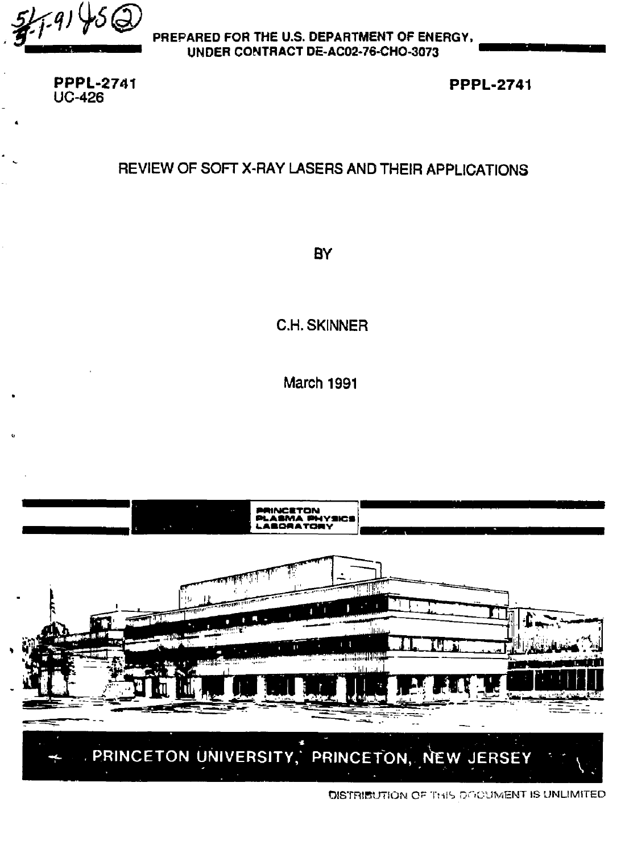PREPARED FOR THE U.S. DEPARTMENT OF ENERGY, **UNDER CONTRACT DE-AC02-76-CHO-3073** 

**PPPL-2741**  UC-426

**PPPL-2741** 

# REVIEW OF SOFT X-RAY LASERS AND THEIR APPLICATIONS

**BY** 

C.H. SKINNER

March 1991



DISTRIBUTION OF THIS ONQUIMENT IS UNLIMITED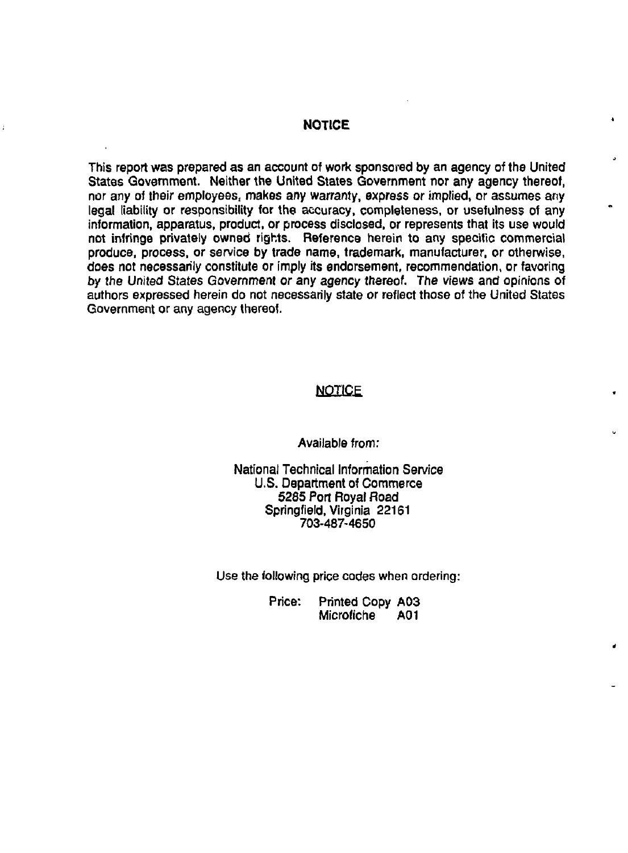#### **NOTICE**

This report was prepared as an account of work sponsored by an agency of the United States Government. Neither the United States Government nor any agency thereof, nor any of their employees, makes any warranty, express or implied, or assumes any legal liability or responsibility for the accuracy, completeness, or usefulness of any information, apparatus, product, or process disclosed, or represents that its use would not infringe privately owned rights. Reference herein to any specific commercial produce, process, or service by trade name, trademark, manufacturer, or otherwise, does not necessarily constitute or imply its endorsement, recommendation, or favoring *by* the United States Government or any agency thereof. The views and opinions of authors expressed herein do not necessarily state or reflect those of the United States Government or any agency thereof.

# **NOTICE**

Available from:

National Technical Information Service U.S. Department of Commerce 5285 Port Royal Road Springfield, Virginia 22161 **703-487-4650** 

Use the following price codes when ordering:

Price: Printed Copy A03 Microfiche A01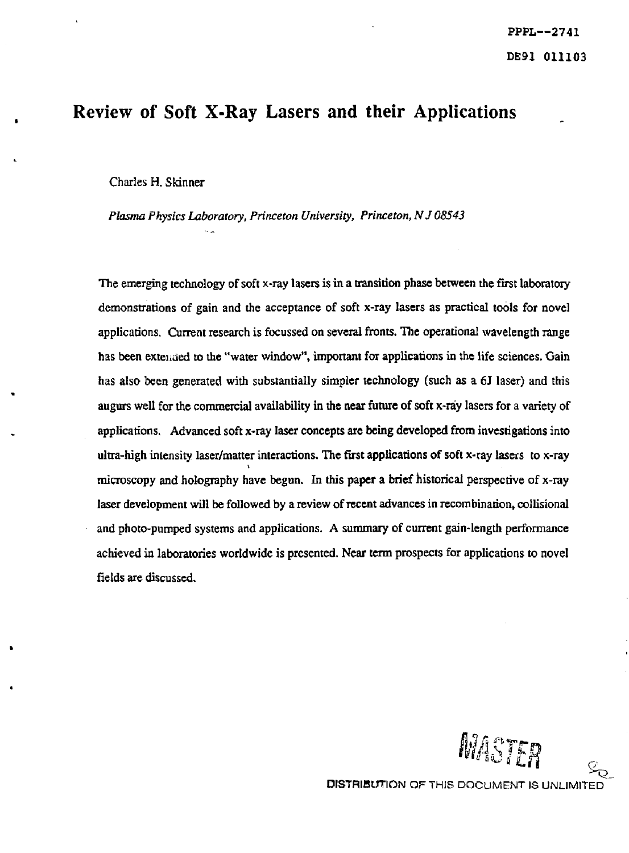# Review of Soft X-Ray Lasers and their Applications

Charles H. Skinner

*Plasma Physics Laboratory, Princeton University, Princeton, NJ 08543* 

The emerging technology of soft x-ray lasers is in a transition phase between the first laboratory demonstrations of gain and the acceptance of soft x-ray lasers as practical tools for novel applications. Current research is focussed on several fronts. The operational wavelength range has been extended to the "water window", important for applications in the life sciences. Gain has also been generated with substantially simpler technology (such as a 6J laser) and this augurs well for the commercial availability in the near future of soft x-ray lasers for a variety of applications. Advanced soft x-ray laser concepts are being developed from investigations into ultra-high intensity laser/matter interactions. The first applications of soft x-ray lasers to x-ray microscopy and holography have begun. In this paper a brief historical perspective of x-ray laser development will be followed by a review of recent advances in recombination, collisional and photo-pumped systems and applications. A summary of current gain-length performance achieved in laboratories worldwide is presented. Near term prospects for applications to novel fields are discussed.

MASTER

DISTRIBUTION OF THIS DOCUMENT IS UNLIMITED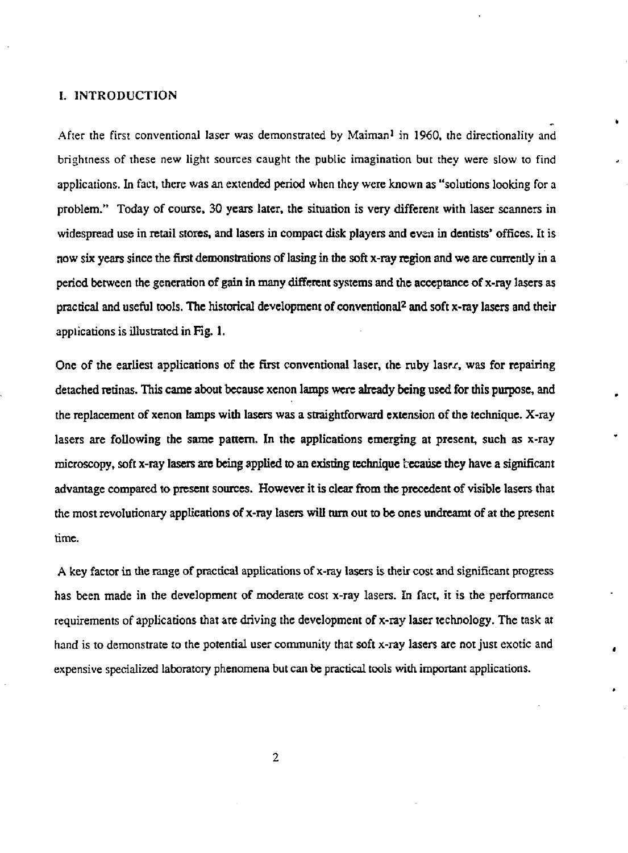#### I. INTRODUCTION

After the first conventional laser was demonstrated by Maiman<sup>1</sup> in 1960, the directionality and brightness of these new light sources caught the public imagination but they were slow to find applications. In fact, there was an extended period when they were known as "solutions looking for a problem." Today of course, 30 years later, the situation is very different with laser scanners in widespread use in retail stores, and lasers in compact disk players and even in dentists' offices. It is now six years since the first demonstrations of lasing in the soft x-ray region and we are currently in a period between the generation of gain in many different systems and the acceptance of x-ray lasers as practical and useful tools. The historical development of conventional<sup>2</sup> and soft x-ray lasers and their applications is illustrated in Fig. 1.

One of the earliest applications of the first conventional laser, the ruby laser, was for repairing detached retinas. This came about because xenon lamps were already being used for this purpose, and the replacement of xenon lamps with lasers was a straightforward extension of the technique. X-ray lasers are following the same pattern. In the applications emerging at present, such as x-ray microscopy, soft x-ray lasers are being applied to an existing technique fcecause they have a significant advantage compared to present sources. However it is clear from the precedent of visible lasers that the most revolutionary applications of x-ray lasers will turn out to be ones undreamt of at the present time.

A key factor in the range of practical applications of x-ray lasers is their cost and significant progress has been made in the development of moderate cost x-ray lasers. In fact, it is the performance requirements of applications that are driving the development of x-ray laser technology. The task at hand is to demonstrate to the potential user community that soft x-ray lasers are not just exotic and expensive specialized laboratory phenomena but can be practical tools widi important applications.

**2**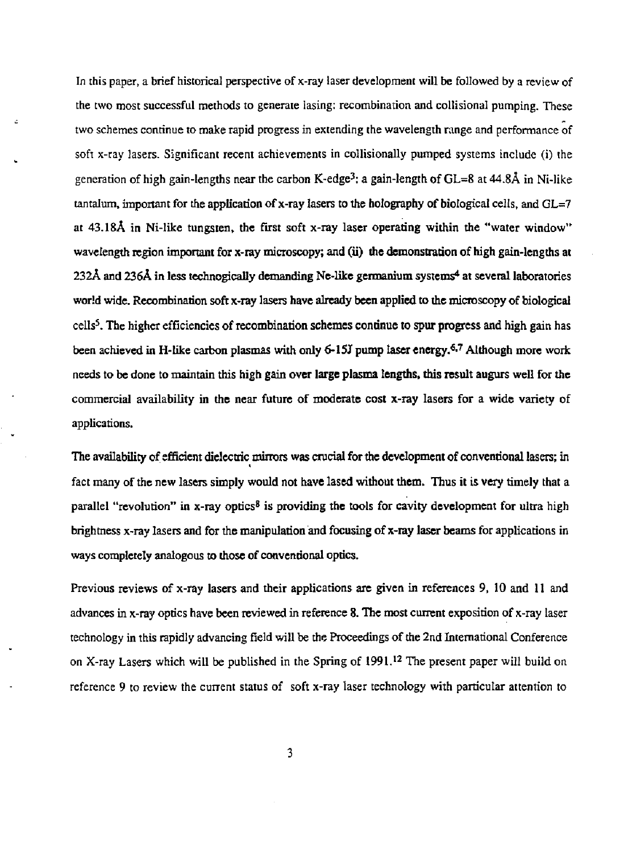In this paper, a brief historical perspective of x-ray laser development will be followed by a review of the two most successful methods to generate lasing: recombination and collisional pumping. These two schemes continue to make rapid progress in extending the wavelength range and performance of soft x-ray lasers. Significant recent achievements in collisionally pumped systems include (i) the generation of high gain-lengths near the carbon K-edge<sup>3</sup> : a gain-length of GL=8 at 44.8A in Ni-like tantalum, important for the application of x-ray lasers to the holography of biological cells, and  $GL=7$ at 43.18A in Ni-like tungsten, the first soft x-ray laser operating within the "water window" wavelength region important for x-ray microscopy; and (ii) the demonstration of high gain-lengths at  $232\text{\AA}$  and  $236\text{\AA}$  in less technogically demanding Ne-like germanium systems<sup>4</sup> at several laboratories world wide. Recombination soft x-ray lasers have already been applied to the microscopy of biological cells<sup>5</sup> . The higher efficiencies of recombination schemes continue to spur progress and high gain has been achieved in H-like carbon plasmas with only 6-15J pump laser energy.<sup>6,7</sup> Although more work needs to be done to maintain this high gain over large plasma lengths, this result augurs well for the commercial availability in the near future of moderate cost x-ray lasers for a wide variety of applications.

The availability of efficient dielectric mirrors was crucial for the development of conventional lasers; in fact many of the new lasers simply would not have lased without them. Thus it is very timely that a parallel "revolution" in x-ray optics<sup>8</sup> is providing the tools for cavity development for ultra high brightness x-ray lasers and for the manipulation and focusing of x-ray laser beams for applications in ways completely analogous to those of conventional optics.

Previous reviews of x-ray lasers and their applications are given in references 9, 10 and 11 and advances in x-ray optics have been reviewed in reference 8. The most current exposition of x-ray laser technology in this rapidly advancing field will be the Proceedings of the 2nd International Conference on X-ray Lasers which will be published in the Spring of 1991.<sup>12</sup> The present paper will build on reference 9 to review the current status of soft x-ray laser technology with particular attention to

**3**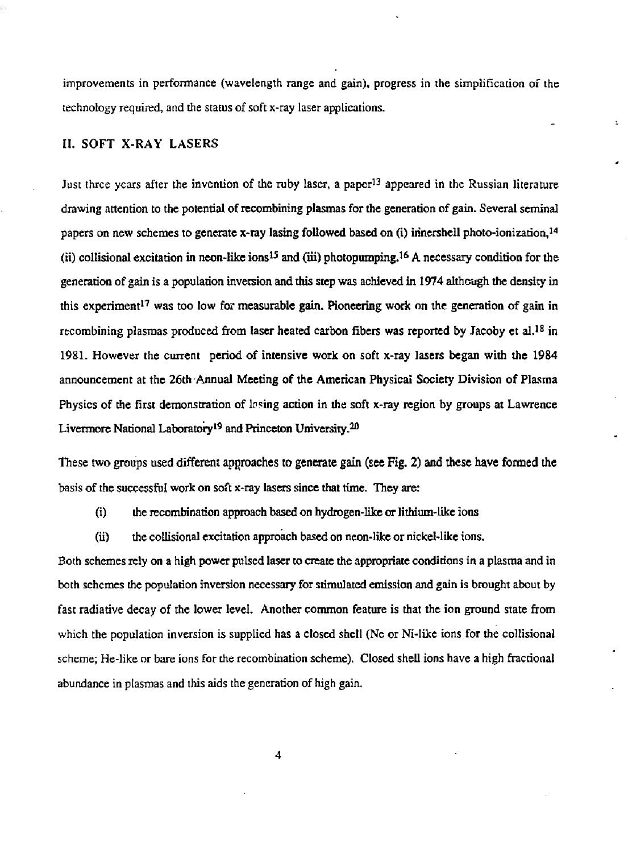improvements in performance (wavelength range and gain), progress in the simplification of the technology required, and the status of soft x-ray laser applications.

ċ.

# H. SOFT X-RAY LASERS

Just three years after the invention of the ruby laser, a paper<sup>13</sup> appeared in the Russian literature drawing attention to the potential of recombining plasmas for the generation of gain. Several seminal papers on new schemes to generate x-ray lasing followed based on (i) irinershell photo-ionization,<sup>14</sup> (ii) collisional excitation in neon-like  $ions^{15}$  and (iii) photopumping.<sup>16</sup> A necessary condition for the generation of gain is a population inversion and this step was achieved in 1974 although the density in this experiment<sup>17</sup> was too low for measurable gain. Pioneering work on the generation of gain in recombining plasmas produced from laser heated carbon fibers was reported by Jacoby et al.<sup>18</sup> in 1981. However the current period of intensive work on soft x-ray lasers began with the 1984 announcement at the 26th Annual Meeting of the American Physical Society Division of Plasma Physics of the first demonstration of lasing action in the soft x-ray region by groups at Lawrence Livermore National Laboratory<sup>19</sup> and Princeton University.<sup>20</sup>

These two groups used different approaches to generate gain (see Fig. 2) and these have formed the basis of the successful work on soft x-ray lasers since that time. They are:

(i) the recombination approach based on hydrogen-like or lithium-like ions

(ii) the collisional excitation approach based on neon-like or nickel-like ions.

Both schemes rely on a high power pulsed laser to create the appropriate conditions in a plasma and in both schemes the population inversion necessary for stimulated emission and gain is brought about by fast radiative decay of the lower level. Another common feature is that the ion ground state from which the population inversion is supplied has a closed shell (Ne or Ni-Iike ions for the collisional scheme; He-like or bare ions for the recombination scheme). Closed shell ions have a high fractional abundance in plasmas and this aids the generation of high gain.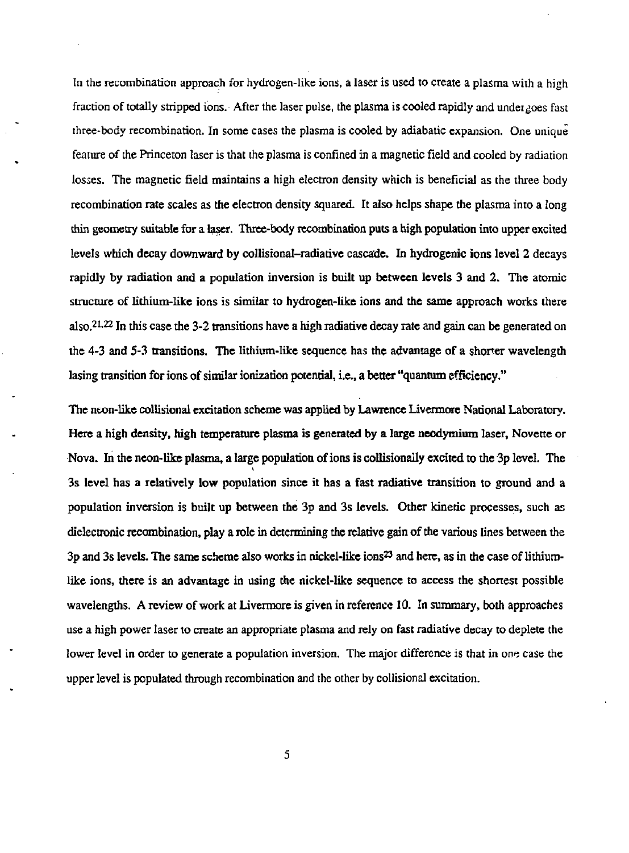In the recombination approach for hydrogen-like ions, a laser is used to create a plasma with a high fraction of totally stripped ions. After the laser pulse, the plasma is cooled rapidly and undeigoes fast three-body recombination. In some cases the plasma is cooled by adiabatic expansion. One unique feature of the Princeton laser is that the plasma is confined in a magnetic field and cooled by radiation losses. The magnetic field maintains a high electron density which is beneficial as the three body recombination rate scales as the electron density squared. It also helps shape the plasma into a long thin geometry suitable for a laser. Three-body recombination puts a high population into upper excited levels which decay downward by collisional-radiative cascade. In hydrogenic ions level 2 decays rapidly by radiation and a population inversion is built up between levels 3 and 2. The atomic structure of lithium-like ions is similar to hydrogen-like ions and the same approach works there also.<sup>21,22</sup> In this case the 3-2 transitions have a high radiative decay rate and gain can be generated on the 4-3 and 5-3 transitions. The lithium-like sequence has the advantage of a shorter wavelength lasing transition for ions of similar ionization potential, i.e., a better "quantum efficiency."

The neon-like collisional excitation scheme was applied by Lawrence Livermore National Laboratory. Here a high density, high temperature plasma is generated by a large neodymium laser, Novette or Nova. In the neon-like plasma, a large population of ions is collisionally excited to the 3p level. The 3s level has a relatively low population since it has a fast radiative transition to ground and a population inversion is built up between the 3p and 3s levels. Other kinetic processes, such as dielectronic recombination, play a role in determining the relative gain of the various lines between the 3p and 3s levels. The same scheme also works in nickel-like ions<sup>23</sup> and here, as in the case of lithiumlike ions, there is an advantage in using the nickel-like sequence to access the shortest possible wavelengths. A review of work at Livermore is given in reference 10. In summary, both approaches use a high power laser to create an appropriate plasma and rely on fast radiative decay to deplete the lower level in order to generate a population inversion. The major difference is that in one case the upper level is populated through recombination and the other by collisional excitation.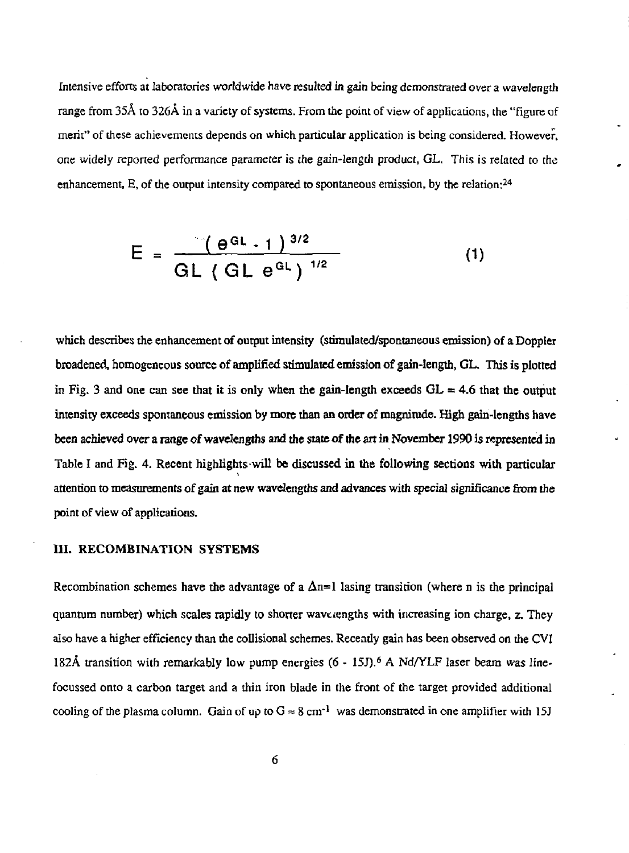Intensive efforts at laboratories worldwide have resulted in gain being demonstrated over a wavelength range from 35Å to 326Å in a variety of systems. From the point of view of applications, the "figure of merit" of these achievements depends on which particular application is being considered. However, one widely reported performance parameter is the gain-length product, GL, This is related to the enhancement, E, of the output intensity compared to spontaneous emission, by the relation:<sup>24</sup>

$$
E = \frac{-(e^{at} - 1)^{3/2}}{GL (GL e^{at})^{1/2}}
$$
 (1)

which describes the enhancement of output intensity (stimulated/spontaneous emission) of a Doppler broadened, homogeneous source of amplified stimulated emission of gain-length, GL. This is plotted in Fig. 3 and one can see that it is only when the gain-length exceeds  $GL = 4.6$  that the output intensity exceeds spontaneous emission by more than an order of magnitude. High gain-lengths have been achieved over a range of wavelengths and the state of the art in November 1990 is represented in Table I and Fig. 4. Recent highlights will be discussed in the following sections with particular attention to measurements of gain at new wavelengths and advances with special significance from the point of view of applications.

## III. RECOMBINATION SYSTEMS

Recombination schemes have the advantage of a  $\Delta n=1$  lasing transition (where n is the principal quantum number) which scales rapidly to shorter wavelengths widi increasing ion charge, z. They also have a higher efficiency than die collisional schemes. Recently gain has been observed on the CVI 182Å transition with remarkably low pump energies (6 - 15J).<sup>6</sup> A Nd/YLF laser beam was linefocussed onto a carbon target and a thin iron blade in the front of the target provided additional cooling of the plasma column. Gain of up to  $G \approx 8 \text{ cm}^{-1}$  was demonstrated in one amplifier with 15J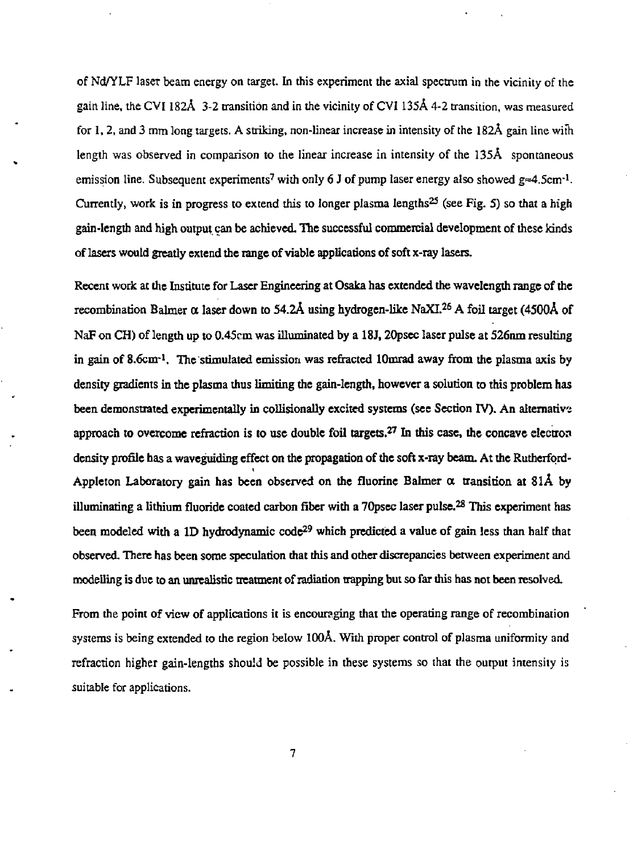of Nd/YLF laser beam energy on target. In this experiment the axial spectrum in the vicinity of the gain line, the CVI 182Å 3-2 transition and in the vicinity of CVI 135Å 4-2 transition, was measured for 1, 2, and 3 mm long targets. A striking, non-linear increase in intensity of the 182Å gain line with length was observed in comparison to the linear increase in intensity of the 135A spontaneous emission line. Subsequent experiments<sup>7</sup> with only 6 J of pump laser energy also showed  $g=4.5$ cm<sup>-1</sup>. Currently, work is in progress to extend this to longer plasma lengths<sup>25</sup> (see Fig. 5) so that a high gain-length and high output can be achieved. The successful commercial development of these kinds of lasers would greatly extend the range of viable applications of soft x-ray lasers.

Recent work at die Institute for Laser Engineering at Osaka has extended die wavelength range of the recombination Balmer a laser down to 54.2A using hydrogen-like NaXL<sup>26</sup> A foil target (4500A of NaF on CH) of length up to 0.45cm was illuminated by a 18J, 20psec laser pulse at 526nm resulting in gain of 8.6cm-<sup>1</sup> . The stimulated emission was refracted lOmrad away from the plasma axis by density gradients in the plasma thus limiting the gain-length, however a solution to this problem has been demonstrated experimentally in collisionally excited systems (see Section IV). An alternative approach to overcome refraction is to use double foil targets.<sup>27</sup> In this case, the concave electron density profile has a waveguiding effect on the propagation of the soft x-ray beam. At the Rutherford-Appleton Laboratory gain has been observed on the fluorine Balmer  $\alpha$  transition at 81Å by illuminating a lithium fluoride coated carbon fiber with a 70psec laser pulse.<sup>28</sup> This experiment has been modeled with a 1D hydrodynamic code<sup>29</sup> which predicted a value of gain less than half that observed. There has been some speculation that this and other discrepancies between experiment and modelling is due to an unrealistic treatment of radiation trapping but so far this has not been resolved.

From the point of view of applications it is encouraging that the operating range of recombination systems is being extended to die region below 100A. With proper control of plasma uniformity and refraction higher gain-lengths should be possible in these systems so that the output intensity is suitable for applications.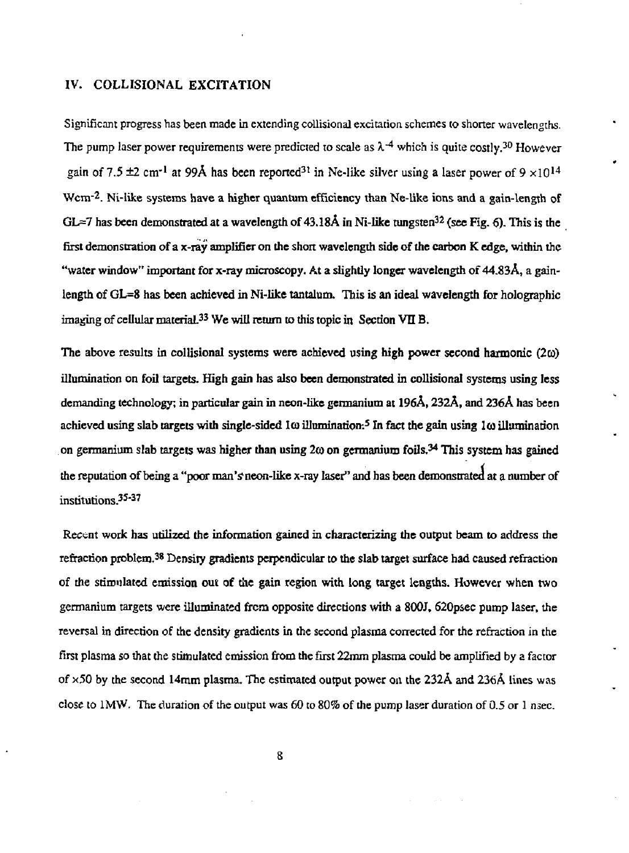# IV. COLLISIONAL EXCITATION

Significant progress has been made in extending collisional excitation schemes to shorter wavelengths. The pump laser power requirements were predicted to scale as  $\lambda^{4}$  which is quite costly.<sup>30</sup> However gain of 7.5  $\pm$ 2 cm<sup>-1</sup> at 99Å has been reported<sup>31</sup> in Ne-like silver using a laser power of 9  $\times$ 10<sup>14</sup> Wcm<sup>-2</sup>. Ni-like systems have a higher quantum efficiency than Ne-like ions and a gain-length of  $GL=7$  has been demonstrated at a wavelength of 43.18Å in Ni-like tungsten<sup>32</sup> (see Fig. 6). This is the first demonstration of a x-ray amplifier on the short wavelength side of the carbon K edge, within the "water window" important for x-ray microscopy. At a slightly longer wavelength of 44.83A, a gainlength of GL=8 has been achieved in Ni-like tantalum. This is an ideal wavelength for holographic imaging of cellular material.<sup>33</sup> We will return to this topic in Section VII B.

The above results in collisional systems were achieved using high power second harmonic  $(2\omega)$ illumination on foil targets. High gain has also been demonstrated in collisional systems using less demanding technology; in particular gain in neon-like germanium at 196A, 232A, and 236A has been achieved using slab targets with single-sided 1 $\omega$  illumination:<sup>5</sup> In fact the gain using 1 $\omega$  illumination on germanium slab targets was higher than using 2 $\omega$  on germanium foils.<sup>34</sup> This system has gained the reputation of being a "poor man's neon-like x-ray laser" and has been demonstrated at a number of institutions.<sup>35-37</sup>

Recent work has utilized the information gained in characterizing the output beam to address the refraction problem.<sup>38</sup> Density gradients perpendicular to the slab target surface had caused refraction of the stimulated emission out of the gain region with long target lengths. However when two germanium targets were illuminated from opposite directions with a 800J, 620psec pump laser, the reversal in direction of the density gradients in the second plasma corrected for the refraction in the first plasma so that the stimulated emission from the first 22mm plasma could be amplified by a factor of  $\times$  50 by the second 14mm plasma. The estimated output power on the 232Å and 236Å lines was close to 1MW. The duration of the output was  $60$  to 80% of the pump laser duration of 0.5 or 1 nsec.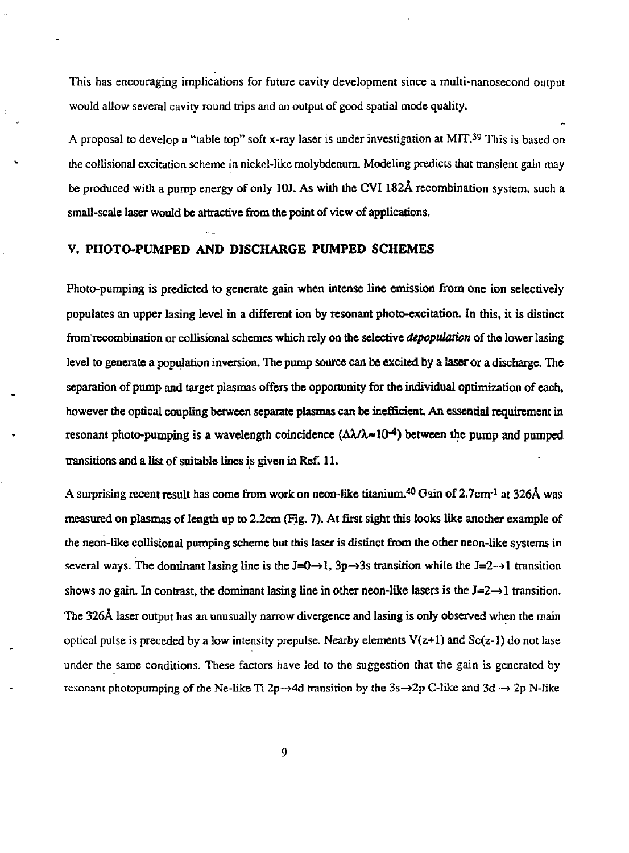This has encouraging implications for future cavity development since a multi-nanosecond output would allow several cavity round trips and an output of good spatial mode quality.

A proposal to develop a "table top" soft x-ray laser is under investigation at MIT.<sup>39</sup> This is based on the collisional excitation scheme in nickel-like molybdenum. Modeling predicts that transient gain may be produced with a pump energy of only 10J. As with the CVI 182Å recombination system, such a small-scale laser would be attractive from the point of view of applications.

#### V. PHOTO-PUMPED AND DISCHARGE PUMPED SCHEMES

Photo-pumping is predicted to generate gain when intense line emission from one ion selectively populates an upper lasing level in a different ion by resonant photo-excitation. In this, it is distinct from recombination or collisional schemes which rely on the selective *depopulation* of the lower lasing level to generate a population inversion. The pump source can be excited by a laser or a discharge. The separation of pump and target plasmas offers the opportunity for the individual optimization of each, however the optical coupling between separate plasmas can be inefficient. An essential requirement in resonant photo-pumping is a wavelength coincidence ( $\Delta\lambda/\lambda \sim 10^{-4}$ ) between the pump and pumped transitions and a list of suitable lines is given in Ref. 11.

A surprising recent result has come from work on neon-like titanium.<sup>40</sup> Gain of 2.7cm<sup>-1</sup> at 326Å was measured on plasmas of length up to 2.2cm (Fig. 7). At first sight this looks like another example of the neon-like collisional pumping scheme but this laser is distinct from the other neon-like systems in several ways. The dominant lasing line is the  $J=0\rightarrow 1$ ,  $3p\rightarrow 3s$  transition while the  $J=2\rightarrow 1$  transition shows no gain. In contrast, the dominant lasing line in other neon-like lasers is the  $J=2\rightarrow l$  transition. The 326A laser output has an unusually narrow divergence and lasing is only observed when the main optical pulse is preceded by a low intensity prepulse. Nearby elements  $V(z+1)$  and  $Sc(z-1)$  do not lase under the same conditions. These factors have led to the suggestion that the gain is generated by resonant photopumping of the Ne-like Ti 2p $\rightarrow$ 4d transition by the 3s $\rightarrow$ 2p C-like and 3d  $\rightarrow$  2p N-like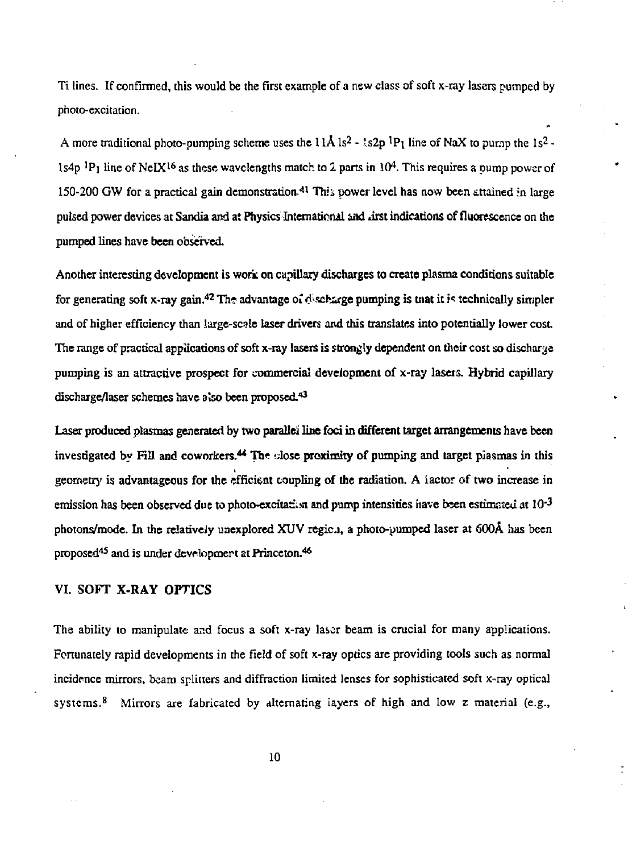Ti lines. If confirmed, this would be the first example of a new class of soft x-ray lasers pumped by photo-excitation.

A more traditional photo-pumping scheme uses the  $11\text{\AA}$  ls<sup>2</sup> - 1s2p <sup>1</sup>P<sub>1</sub> line of NaX to pump the 1s<sup>2</sup> -1s4p <sup>1</sup>P<sub>1</sub> line of NeIX<sup>16</sup> as these wavelengths match to 2 parts in 10<sup>4</sup>. This requires a pump power of 150-200 GW for a practical gain demonstration.<sup>41</sup> This power level has now been attained in large pulsed power devices at Sandia and at Physics International and dirst indications of fluorescence on the pumped lines have been observed.

Another interesting development is work on capillary discharges to create plasma conditions suitable for generating soft x-ray gain.<sup>42</sup> The advantage of discharge pumping is tnat it is technically simpler and of higher efficiency than Jarge-scale laser drivers and this translates into potentially lower cost. The range of practical applications of soft x-ray lasers is strongly dependent on their cost so discharge pumping is an attractive prospect for commercial development of x-ray lasers. Hybrid capillary discharge/laser schemes have also been proposed.<sup>43</sup>

Laser produced plasmas generated by two parallel line foci in different target arrangements have been investigated by Fill and coworkers.<sup>44</sup> The close proximity of pumping and target plasmas in this geometry is advantageous for the efficient coupling of the radiation. A iactor of two increase in emission has been observed due to photo-excitation and pump intensities have been estimated at  $10^{-3}$ photons/mode. In the relatively unexplored XUV regich, a photo-pumped laser at 600Å has been proposed<sup>45</sup> and is under development at Princeton.<sup>46</sup>

# VI. SOFT X-RAY OPTICS

The ability to manipulate and focus a soft x-ray laser beam is crucial for many applications. Fortunately rapid developments in the field of soft x-ray optics are providing tools such as normal incidence mirrors, beam splitters and diffraction limited lenses for sophisticated soft x-ray optical systems.<sup>8</sup> Mirrors are fabricated by alternating iayers of high and low z material (e.g.,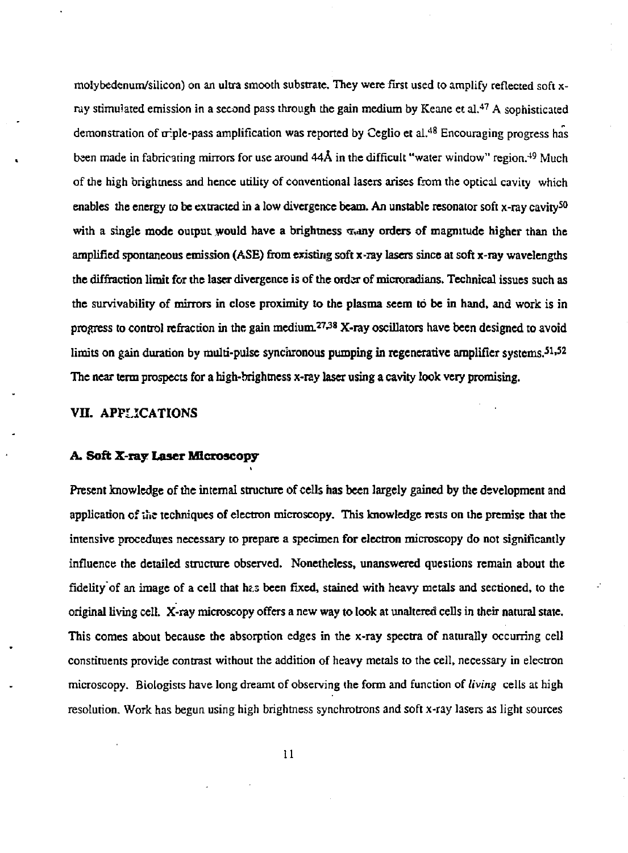molybedenum/silicon) on an ultra smooth substrate. They were first used to amplify reflected soft xray stimulated emission in a second pass through the gain medium by Keane et al.<sup>47</sup> A sophisticated demonstration of triple-pass amplification was reported by Ceglio et al.<sup>48</sup> Encouraging progress has been made in fabricating mirrors for use around 44Å in the difficult "water window" region.<sup>49</sup> Much of the high brightness and hence utility of conventional lasers arises from the optical cavity which enables the energy to be extracted in a low divergence beam. An unstable resonator soft x-ray cavity<sup>50</sup> with a single mode output would have a brightness  $\sigma$  any orders of magnitude higher than the amplified spontaneous emission (ASE) from existing soft x-ray lasers since at soft x-ray wavelengths the diffraction limit for the laser divergence is of the order of microradians. Technical issues such as the survivability of mirrors in close proximity to the plasma seem to be in hand, and work is in progress to control refraction in the gain medium.<sup>27,38</sup> X-ray oscillators have been designed to avoid limits on gain duration by multi-pulse synchronous pumping in regenerative amplifier systems.<sup>51,52</sup> The near term prospects for a high-brightness x-ray laser using a cavity look very promising.

#### VII. APPLICATIONS

#### **A. Soft X-ray Laser Microscopy**

Present knowledge of the internal structure of cells has been largely gained by the development and application of the techniques of electron microscopy. This knowledge rests on the premise that the intensive procedures necessary to prepare a specimen for electron microscopy do not significantly influence the detailed structure observed. Nonetheless, unanswered questions remain about die fidelity of an image of a cell that has been fixed, stained with heavy metals and sectioned, to the original living cell. X-ray microscopy offers a new way to look at unaltered cells in their natural state. This comes about because the absorption edges in the x-ray spectra of naturally occurring cell constituents provide contrast without the addition of heavy metals to the cell, necessary in electron microscopy. Biologists have long dreamt of observing the form and function of *living* cells at high resolution. Work has begun using high brightness synchrotrons and soft x-ray lasers as light sources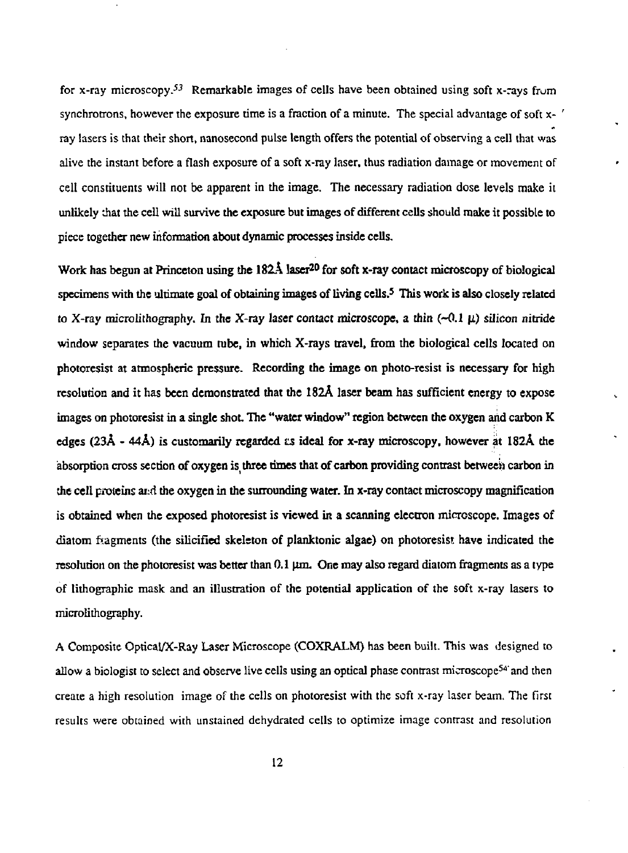for x-ray microscopy.<sup>53</sup> Remarkable images of cells have been obtained using soft x-rays from synchrotrons, however the exposure time is a fraction of a minute. The special advantage of soft  $x - '$ ray lasers is that their short, nanosecond pulse length offers the potential of observing a cell that was alive the instant before a flash exposure of a soft x-ray laser, thus radiation damage or movement of cell constituents will not be apparent in the image. The necessary radiation dose levels make it unlikely that the cell will survive the exposure but images of different cells should make it possible to piece together new information about dynamic processes inside cells.

Work has begun at Princeton using the 182A laser<sup>20</sup> for soft x-ray contact microscopy of biological specimens with the ultimate goal of obtaining images of living cells.<sup>5</sup> This work is also closely related to X-ray microlithography. In the X-ray laser contact microscope, a thin  $(-0.1 \mu)$  silicon nitride window separates the vacuum tube, in which X-rays travel, from the biological cells located on photoresist at atmospheric pressure. Recording the image on photo-resist is necessary for high resolution and it has been demonstrated that the 182A laser beam has sufficient energy to expose images on photoresist in a single shot. The "water window" region between the oxygen and carbon K edges (23A - 44A) is customarily regarded *as* ideal for x-ray microscopy, however at 182A the absorption cross section of oxygen is three times that of carbon providing contrast between carbon in the cell proteins ard the oxygen in the surrounding water. In x-ray contact microscopy magnification is obtained when die exposed photoresist is viewed in a scanning electron microscope. Images of diatom fragments (the silicified skeleton of planktonic algae) on photoresist have indicated the resolution on the photoresist was better than 0.1 µm. One may also regard diatom fragments as a type of lithographic mask and an illustration of the potential application of the soft x-ray lasers to microlithography.

A Composite Optical/X-Ray Laser Microscope (COXRALM) has been built. This was designed to allow a biologist to select and observe live cells using an optical phase contrast microscope<sup>54'</sup> and then create a high resolution image of the cells on photoresist with the soft x-ray laser beam. The first results were obtained with unstained dehydrated cells to optimize image contrast and resolution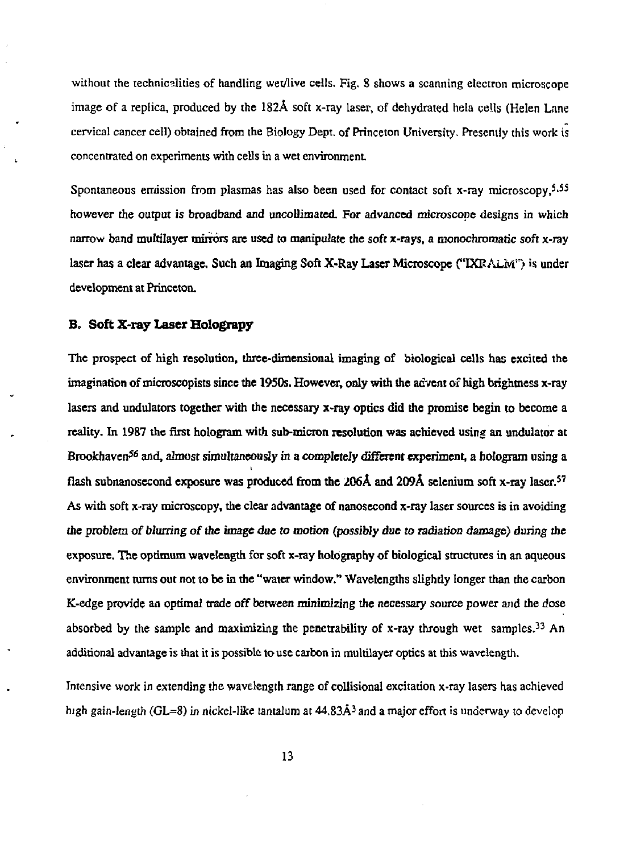without the technicalities of handling wet/live cells. Fig. 8 shows a scanning electron microscope image of a replica, produced by the  $182\text{\AA}$  soft x-ray laser, of dehydrated hela cells (Helen Lane cervical cancer cell) obtained from the Biology Dept, of Princeton University. Presently this work is concentrated on experiments with cells in a wet environment

Spontaneous emission from plasmas has also been used for contact soft x-ray microscopy,5.55 however the output is broadband and uncollimated. For advanced microscope designs in which narrow band multilayer mirrors are used to manipulate the soft x-rays, a monochromatic soft x-ray laser has a clear advantage. Such an Imaging Soft X-Ray Laser Microscope ("IXRALM") is under development at Princeton.

#### **B.** Soft X-ray Laser Holograpy

The prospect of high resolution, three-dimensional imaging of biological cells has excited the imagination of microscopists since the 1950s. However, only with the advent of high brightness x-ray lasers and undulators together with the necessary x-ray optics did the promise begin to become a reality. In 1987 the first hologram with sub-micron resolution was achieved using an undulator at Brookhaven<sup>56</sup> and, almost simultaneously in a completely different experiment, a hologram using a flash subnanosecond exposure was produced from the 206A and 209A selenium soft x-ray laser.<sup>57</sup> As with soft x-ray microscopy, the clear advantage of nanosecond x-ray laser sources is in avoiding the problem *of blurring of the image due to* morion (possibly due *to radiation* damage) during the exposure. The optimum wavelength for soft x-ray holography of biological structures in an aqueous environment turns out not to be in the "water window." Wavelengths slighdy longer than the carbon K-edge provide an optimal trade off between minimizing the necessary source power and the dose absorbed by the sample and maximizing the penetrability of x-ray through wet samples.<sup>33</sup> An additional advantage is that it is possible to use carbon in multilayer optics at this wavelength.

Intensive work in extending the wavelength range of collisional excitation x-ray lasers has achieved high gain-length (GL=8) in nickel-like tantalum at 44.83Å<sup>3</sup> and a major effort is underway to develop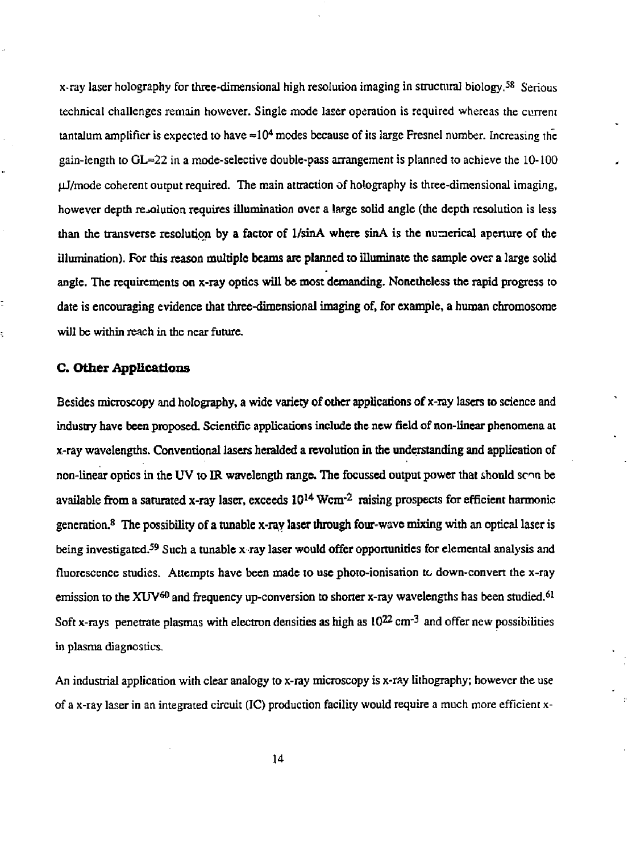x-ray laser holography for three-dimensional high resolution imaging in structural biology.<sup>58</sup> Serious technical challenges remain however. Single mode laser operation is required whereas the current tantalum amplifier is expected to have  $\text{=}10^4$  modes because of its large Fresnel number. Increasing the gain-length to  $GL=22$  in a mode-selective double-pass arrangement is planned to achieve the  $10-100$  $\mu$ J/mode coherent output required. The main attraction of holography is three-dimensional imaging, however depth resolution requires illumination over a large solid angle (the depth resolution is less than the transverse resolution by a factor of 1/sinA where sinA is the numerical aperture of the illumination). For this reason multiple beams are planned **to** illuminate the sample over a large solid angle. The requirements on x-ray optics will be most demanding. Nonetheless the rapid progress to date is encouraging evidence that three-dimensional imaging of, for example, a human chromosome will be within reach in the near future.

### **C. Other Applications**

Besides microscopy and holography, a wide variety of other applications of x-ray lasers to science and industry have been proposed. Scientific applications include die new field of non-linear phenomena at x-ray wavelengths. Conventional lasers heralded a revolution in the understanding and application of non-linear optics in the UV to IR wavelength range. The focussed output power that should seem be available from a saturated x-ray laser, exceeds  $10^{14}$  Wcm<sup>-2</sup> raising prospects for efficient harmonic generation.<sup>8</sup> The possibility of a tunable x-ray laser through four-wave mixing with an optical laser is being investigated.<sup>59</sup> Such a tunable x ray laser would offer opportunities for elemental analysis and fluorescence studies. Attempts have been made to use photo-ionisarion tc down-convert the x-ray emission to the XUV<sup>60</sup> and frequency up-conversion to shorter x-ray wavelengths has been studied.<sup>61</sup> Soft x-rays penetrate plasmas with electron densities as high as  $10^{22}$  cm<sup>-3</sup> and offer new possibilities in plasma diagnostics.

An industrial application with clear analogy to x-ray microscopy is x-ray lithography; however the use of a x-ray laser in an integrated circuit (IC) production facility would require a much more efficient x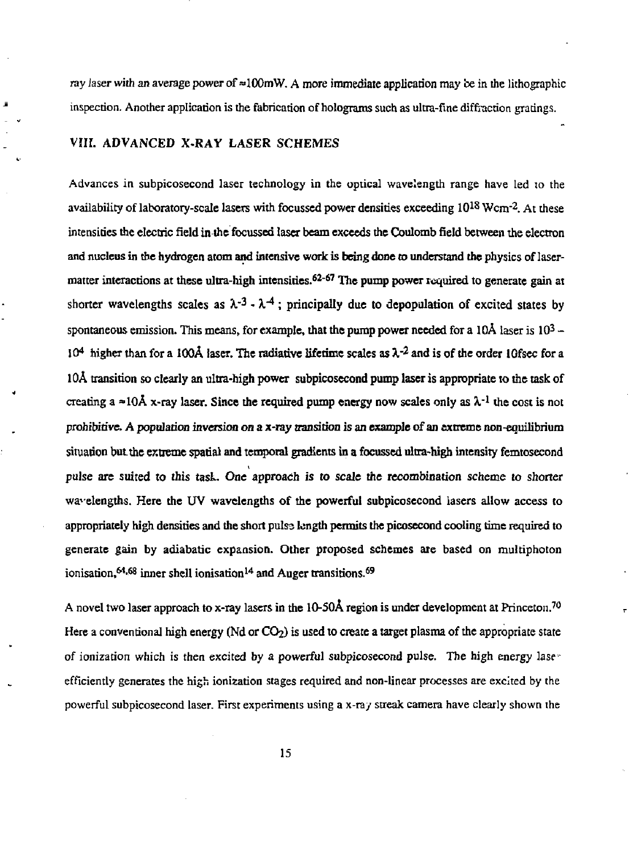ray laser with an average power of  $\approx 100$  mW. A more immediate application may be in the lithographic inspection. Another application is the fabrication of holograms such as ultra-fine diffraction gratings.

# VIII. ADVANCED X.RAY LASER SCHEMES

Advances in subpicosecond laser technology in the optical wavelength range have led to the availability of laboratory-scale lasers with focussed power densities exceeding  $10^{18}$  Wcm<sup>-2</sup>. At these intensities the electric field in the focussed laser beam exceeds the Coulomb field between the electron and nucleus in the hydrogen atom and intensive work is being done to understand the physics of lasermatter interactions at these ultra-high intensities.<sup>62-67</sup> The pump power required to generate gain at shorter wavelengths scales as  $\lambda^{-3}$  -  $\lambda^{-4}$ ; principally due to depopulation of excited states by spontaneous emission. This means, for example, that the pump power needed for a  $10\text{\AA}$  laser is  $10^3$  – 10<sup>4</sup> higher than for a 100Å laser. The radiative lifetime scales as λ<sup>-2</sup> and is of the order 10fsec for a 10A transition so clearly an ultra-high power subpicosecond pump laser is appropriate to the task of creating a  $\approx$ 10Å x-ray laser. Since the required pump energy now scales only as  $\lambda$ <sup>-1</sup> the cost is not prohibitive. A population inversion on a x-ray transition is an example of an extreme non-equilibrium situation but the extreme spatial and temporal gradients in a focussed ultra-high intensity femtosecond pulse are suited to this task. One approach is to scale the recombination scheme to shorter wavelengths. Here the UV wavelengths of the powerful subpicosecond lasers allow access to appropriately high densities and the short pulse length permits the picosecond cooling time required to generate gain by adiabatic expansion. Other proposed schemes are based on multiphoton ionisation, <sup>64,68</sup> inner shell ionisation<sup>14</sup> and Auger transitions.<sup>69</sup>

A novel two laser approach to x-ray lasers in the 10-50Å region is under development at Princeton.<sup>70</sup> Here a conventional high energy (Nd or  $CO<sub>2</sub>$ ) is used to create a target plasma of the appropriate state of ionization which is then excited by a powerful subpicosecond pulse. The high energy lase  $\cdot$ efficiently generates the high ionization stages required and non-linear processes are excited by the powerful subpicosecond laser. First experiments using a x-ray streak camera have clearly shown the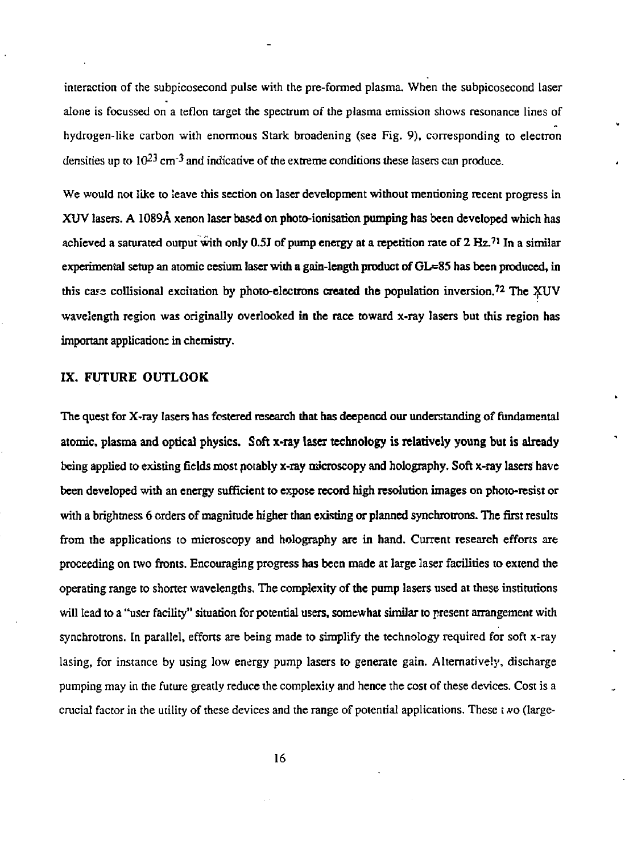interaction of the subpicosecond pulse with the pre-formed plasma. When the subpicosecond laser alone is focussed on a teflon target the spectrum of the plasma emission shows resonance lines of hydrogen-like carbon with enormous Stark broadening (see Fig. 9), corresponding to electron densities up to  $10^{23}$  cm<sup>-3</sup> and indicative of the extreme conditions these lasers can produce.

We would not like to leave this section on laser development without mentioning recent progress in XUV lasers. A 1089A xenon laser based on photo-ionisation pumping has been developed which has achieved a saturated output with only 0.5J of pump energy at a repetition rate of  $2 \text{ Hz}^{71}$  In a similar experimental setup an atomic cesium laser with a gain-length product of GL=85 has been produced, in this case collisional excitation by photo-electrons created the population inversion.<sup>72</sup> The XUV wavelength region was originally overlooked in the race toward x-ray lasers but this region has important application; in chemistry.

# IX. FUTURE OUTLOOK

The quest for X-ray lasers has fostered research that has deepened our understanding of fundamental atomic, plasma and optical physics. Soft x-ray laser technology is relatively young but is already being applied to existing fields most notably x-ray microscopy and holography. Soft x-ray lasers have been developed with an energy sufficient to expose record high resolution images on photo-resist or with a brightness 6 orders of magnitude higher than existing or planned synchrotrons. The first results from the applications to microscopy and holography are in hand. Current research efforts are proceeding on two fronts. Encouraging progress has been made at large laser facilities to extend the operating range to shorter wavelengths. The complexity of die pump lasers used at these institutions will lead to a "user facility" situation for potential users, somewhat similar to present arrangement with synchrotrons. In parallel, efforts are being made to simplify the technology required for soft x-ray lasing, for instance by using low energy pump lasers to generate gain. Alternatively, discharge pumping may in the future greatly reduce the complexity and hence the cost of these devices. Cost is a crucial factor in the utility of these devices and the range of potential applications. These t *f/o* (large-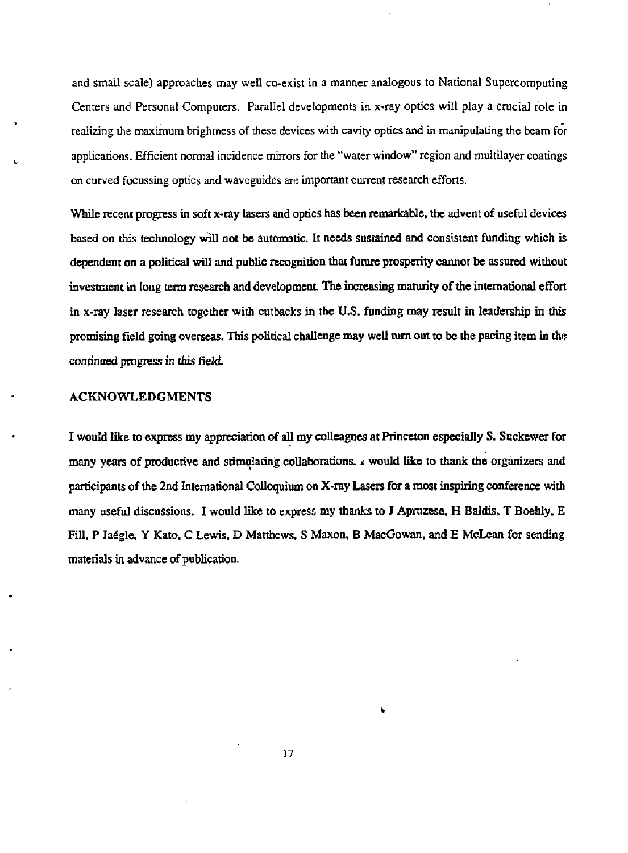and small scale) approaches may well co-exist in a manner analogous to National Supercomputing Centers and Personal Computers. Parallel developments in x-ray optics will play a crucial role in realizing the maximum brightness of these devices with cavity optics and in manipulating the beam for applications. Efficient normal incidence mirrors for the "water window" region and multilayer coatings on curved focussing optics and waveguides are important current research efforts.

While recent progress in soft x-ray lasers and optics has been remarkable, the advent of useful devices based on this technology will not be automatic. It needs sustained and consistent funding which is dependent on a political will and public recognition that future prosperity cannot be assured without investment in long term research and development The increasing maturity of the international effort in x-ray laser research together with cutbacks in the U.S. funding may result in leadership in this promising field going overseas. This political challenge may well turn out to be the pacing item in the continued progress in this field

## ACKNOWLEDGMENTS

I would like to express my appreciation of all my colleagues at Princeton especially S. Suckewer for many years of productive and stimulating collaborations, *i* would like to thank the organizers and participants of the 2nd International Colloquium on X-ray Lasers for a most inspiring conference with many useful discussions. I would like to express my thanks to J Apmzese, H Baldis, T Boehly, E Fill, P Jadgle, Y Kato, C Lewis, D Matthews, S Maxon, B MacGowan, and E McLean for sending materials in advance of publication.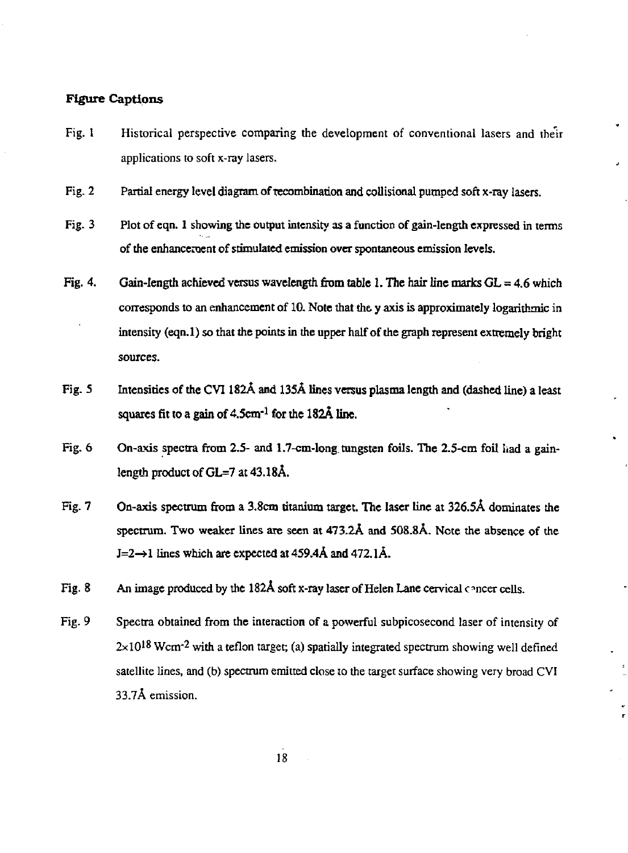# **Figure Captions**

- Fig. I Historical perspective comparing the development of conventional lasers and their applications to soft x-ray lasers.
- Fig. 2 Partial energy level diagram of recombination and collisional pumped soft x-ray lasers.
- Fig. 3 Plot of eqn. 1 showing the output intensity as a function of gain-length expressed in terms of the enhancement of stimulated emission over spontaneous emission levels.
- Fig. 4. Gain-length achieved versus wavelength from table 1. The hair line marks GL = 4.6 which corresponds to an enhancement of 10. Note that the y axis is approximately logarithmic in intensity (eqn.l) so that the points in the upper half of the graph represent extremely bright sources.
- Fig. 5 Intensities of the CVl 182A and 135A lines versus plasma length and (dashed line) a least squares fit to a gain of 4.5cm-1 for the 1**82A line.**
- Fig. 6 On-axis spectra from 2.5- and 1.7-cm-long tungsten foils. The 2.5-cm foil had a gainlength product of GL=7 at 43.18A.
- Fig. 7 On-axis spectrum from a 3.8cm titanium target. The laser line at 326.5A dominates the spectrum. Two weaker lines are seen at 473.2A and 508.8A. Note the absence of the  $J=2\rightarrow 1$  lines which are expected at 459.4Å and 472.1Å.
- Fig. 8 An image produced by the 182A soft x-ray laser of Helen Lane cervical concer cells.
- Fig. 9 Spectra obtained from the interaction of a powerful subpicosecond laser of intensity of  $2\times10^{18}$  Wcm<sup>-2</sup> with a teflon target; (a) spatially integrated spectrum showing well defined satellite lines, and (b) spectrum emitted close to the target surface showing very broad CVl 33.7A emission.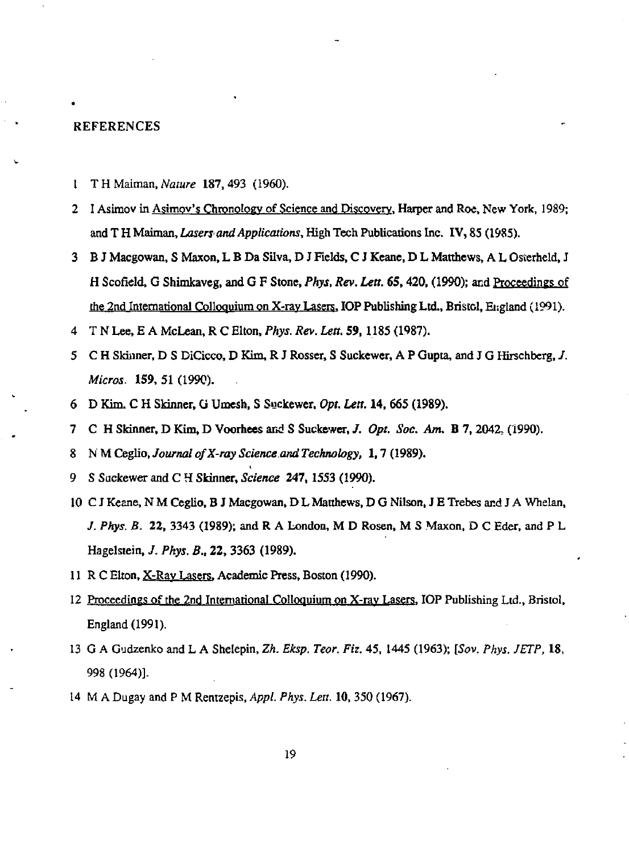#### REFERENCES

- 1 T H Maiman, *Nature* 187,493 (1960).
- 2 I Asimov in Asimov's Chronology of Science and Discovery, Harper and Roe, New York, 1989; and T H Maiman, *Lasers and Applications,* High Tech Publications Inc. IV, 85 (1985).
- 3 B J Macgowan, S Maxon, L B Da Silva, D J Fields, C J Keane, D L Matthews, A L Osterheld, J H Scofield, G Shimkaveg, and G F Stone, *Phys, Rev. Lett. 6S,* 420, (1990); and Proceedings of the 2nd International Colloquium on X-rav Lasers. IOP Publishing Ltd., Bristol, England (1991).
- 4 T N Lee, E A McLean, R C Elton, *Phys. Rev. Lett.* 59, 1185 (1987).
- 5 C H Skinner, D S DiCicco, D Kim, R J Rosser, S Suckewer, A P Gupta, and J G Hirschberg, *J. Micros,* 159, 51 (1990).
- 6 D Kim. C H Skinner, G Umesh, S Suckewer. *Opt. Lett.* 14, 665 (1989).
- 7 C H Skinner, D Kim, D Voorhees and S Suckewer, /. *Opt. Soc. Am.* B 7,2042, (1990).
- 8 NMCeglio./ourna/ *ofX-ray Science, and Technology,* 1,7(1989).
- 9 S Suckewer and C H Skinner, *Science* 247,1553 (1990).
- 10 C J Keane, N M Ceglio, B J Macgowan, D L Matthews, D G Nilson, J E Trebes and J A Whelan, *J. Phys. B.* 22, 3343 (1989); and R A London, M D Rosen, M S Maxon. D C Eder, and P L Hagelstein, *J. Phys. B.,* 22, 3363 (1989).
- 11 R C Elton, X-Rav Lasers. Academic Press, Boston (1990).
- 12 Proceedings of the 2nd International Colloquium on X-ray Lasers, IOP Publishing Ltd., Bristol, England (1991).
- 13 G A Gudzenko and L A Shelepin, *Zh. Eksp. Teor. Fiz.* 45, 1445 (1963); *[Sov. Phys. JETP,* 18, 998 (1964)].
- 14 M A Dugay and P M Rentzepis, *Appl. Phys. Lett.* 10, 350 (1967).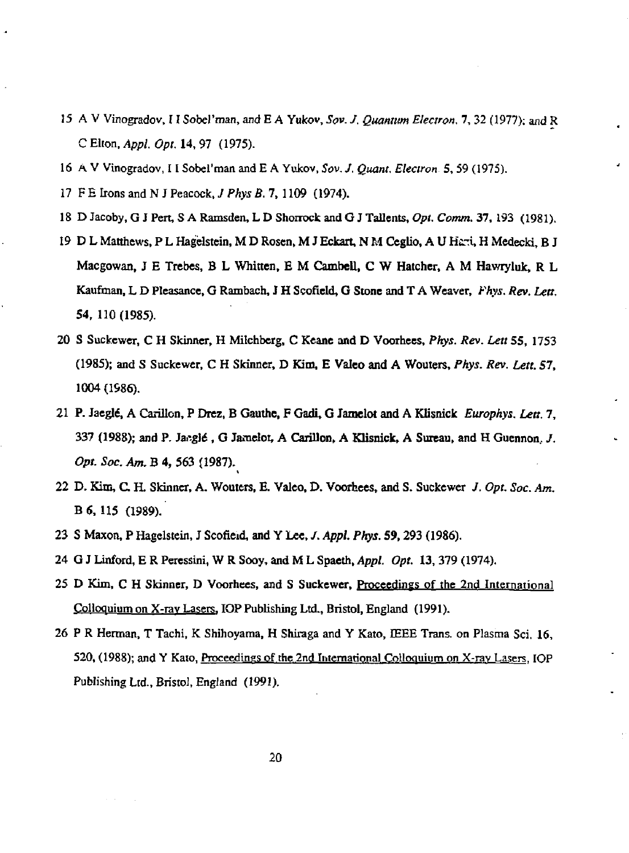- 15 A V Vinogradov, 11 Sobel'man, and E A Yukov, *Sov. J. Quantum Electron.* 7, 32 (1977); and R C Elton, *Appl. Opt.* 14, 97 (1975).
- 16 A V Vinogradov, 11 Sobel'man and E A Yukov, *Sov. J. Quant. Electron* 5,59 (1975).
- 17 F E Irons and N J Peacock, *J Phys B.* 7, 1109 (1974).
- 18 D Jacoby, G J Pert, S A Ramsden, L D Shorrock and G J Tallents, *Opt. Comm.* 37, 193 (1981).
- 19 D L Matthews, P L Hagelstein, M D Rosen, M J Eckart, N M Ceglio, A U Hsrf, H Medecki, B J Macgowan, J E Trebes, B L Written, E M Cambell, C W Hatcher, A M Hawryluk, R L Kaufman, L D Pleasance, G Rambach, J H Scofield, G Stone and T A Weaver, *Fhys. Rev. Lett.*  54,110(1985).
- 20 S Suckcwer, C H Skinner, H Milchbcrg, C Keane and D Voorhees, *Phys. Rev. LettSS,* 1753 (1985); and S Suckewer, C H Skinner, D Kim, E Valeo and A Wouters, *Pkys. Rev. Lett. 57,*  1004 (1986).
- 21 P. Jaegte, A Carillon, P Drez, B Gauthe, F Gadi, G Jamelot and A Klisnick *Europhys. Lett.* 7, 337 (1988); and P. Jaegié, G Jamelot, A Carillon, A Klisnick, A Sureau, and H Guennon, *J. Opt. Soc. Am.* B 4, 563 (1987).
- 22 D. Kim, C. H. Skinner, A. Wouters, E. Valeo, D. Voorhees, and S. Suckewer *J. Opt. Soc. Am.*  B 6, 115 (1989).
- 23 S Maxon, P Hagelstein, J Scorleid, and Y Lee, /. *Appl. Phys.* 59,293 (1986).
- 24 G J Linford, E R Peressini, W R Sooy, and M L Spaeth, *Appl. Opt.* 13, 379 (1974).
- 25 D Kim, C H Skinner, D Voorhees, and S Suckewer, Proceedings of the 2nd International Colloquium on X-rav Lasers. IOP Publishing Ltd., Bristol, England (1991).
- 26 P R Herman, T Tachi, K Shihoyama, H Shiraga and Y Kato, IEEE Trans, on Plasma Sci. 16, 520, (1988); and Y Kato, Proceedings of the 2nd International Colloquium on X-ray Lasers, IOP Publishing Ltd., Bristol, England (1991).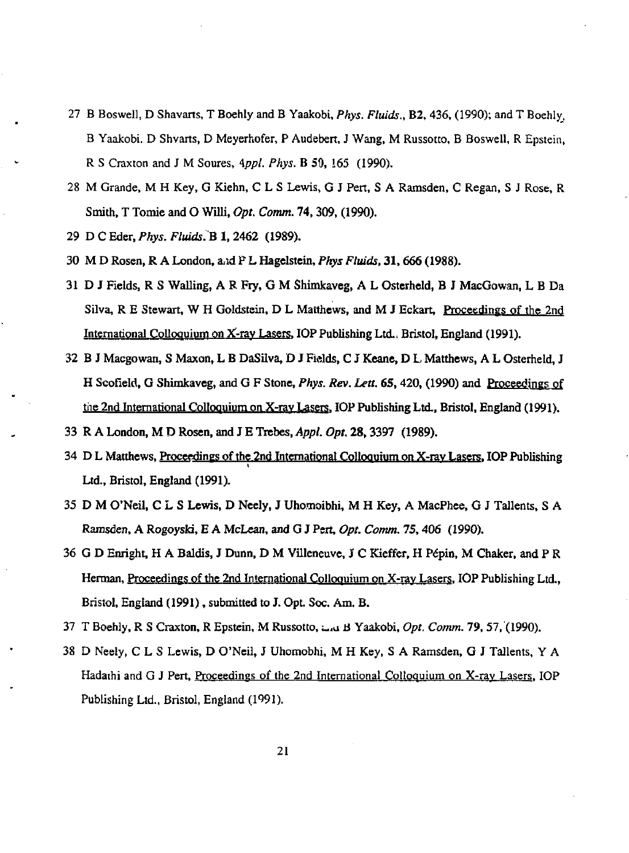- 27 B Boswell, D Shavarts, T Boehly and B Yaakobi, *Phys. Fluids.,* B2,436, (1990); and T Boehly, B Yaakobi. D Shvarts, D Meyerhofer, P Audebert, J Wang, M Russotto, B Boswell, R Epstein, R S Craxton and J M Soures, *\ppl. Phys.* B SO, !65 (1990).
- 28 M Grande, M H Key, G Kiehn, C L S Lewis, G J Pert, S A Ramsden, C Regan, S J Rose, R Smith, T Tomie and O Willi, *Opt. Comm.* 74,309, (1990).
- 29 DCEder,*Phys. Fluids.^* 1, 2462 (1989).
- 30 M D Rosen, R A London, arid P L Hagelstein, *Phys Fluids,* 31,666 (1988).
- 31 D J Fields, R S Walling, A R Fiy, G M Shimkaveg, A L Osterheld, B J MacGowan, L B Da Silva, R E Stewart, W H Goldstein, D L Matthews, and M J Eckart, Proceedings of the 2nd International Colloquium on X-ray Lasers. IOP Publishing Ltd., Bristol, England (1991).
- 32 B J Macgowan, S Maxon, L B DaSilva, D J Fields, C J Keane, D L Matthews, A L Osterheld, J H Scofield, G Shimkaveg, and G F Stone, *Phys. Rev. Lett. 65,*420, (1990) and Proceedings of the 2nd International Colloquium on X-rav Lasers. IOP Publishing Ltd., Bristol, England (1991).
- 33 R A London, M D Rosen, and J E Trebes, *Appl. Opt.* 28,3397 (1989).
- 34 D L Matthews. Proceedings of the 2nd International Colloquium on X-rav Lasers. IOP Publishing Ltd., Bristol, England (1991).
- 35 D M O'Neil, C L S Lewis, D Neely, J Uhomoibhi, M H Key, A MacPhee, G J Tallents, S A Ramsden, A Rogoyski, E A McLean, and G J Pert, *Opt. Comm.* 75,406 (1990).
- 36 G D Enright, H A Baldis, J Dunn, D M Villeneuve, J C Kieffer, H Pepin, M Chaker, and P R Herman, Proceedings of the 2nd International Colloquium on X-ray Lasers. IOP Publishing Ltd., Bristol, England (1991), submitted to J. Opt. Soc. Am. B.
- 37 T Boehly, R S Craxton, R Epstein, M Russotto, w,u tf Yaakobi, *Opt. Comm.* 79,57, (1990).
- 38 D Neeiy, C L S Lewis, D O'Neil, J Uhomobhi, M H Key, S A Ramsden, G J Tallents, Y A Hadathi and G J Pert, Proceedings of the 2nd International Colloquium on X-ray Lasers, IOP Publishing Ltd., Bristol, England (1991).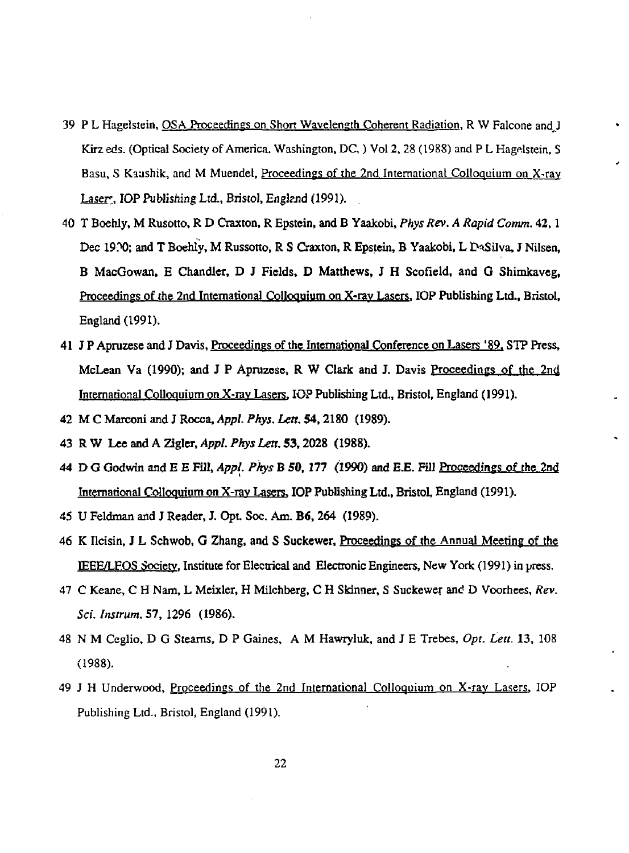- 39 P L Hagelstein, OSA Proceedings on Short Wayelength Coherent Radiation, R W Falcone and J Kirz eds. (Optical Society of America, Washington, DC, ) Vol 2, 28 (1988) and P L Hagelstein, S Basu, S Kaushik, and M Muendel, Proceedings of the 2nd International Colloquium on X-ray Laser<sup>,</sup> IOP Publishing Ltd., Bristol, England (1991).
- 40 T Boehly, M Rusotto, R D Craxton, R Epstein, and B Yaakobi, *Phys Rev. A Rapid Comm.* 42,1 Dec 19?0; and T Boehly, M Russotto, R S Craxton, R Epstein, B Yaakobi, L DaSilva, J Nilsen, B MacGowan, E Chandler, D J Fields, D Matthews, J H Scofield, and G Shimkaveg, Proceedings of the 2nd International Colloquium on X-rav Lasers. IOP Publishing Ltd., Bristol, England (1991).
- 41 J P Apruzese and J Davis, Proceedings of the International Conference on Lasers '89, STP Press, McLean Va (1990); and J P Apruzese, R W Clark and J. Davis Proceedings of the 2nd International Colloquium on X-rav Lasers. IOP Publishing Ltd., Bristol, England (1991).
- 42 MC Marconi and J *Rocca^ Appl. Pkys. Lett.* 54,2180 (1989).
- 43 RW *Lee and A Zigler, Appl. Pkys Lett. 53,2028* (1988).
- 44 D G Godwin and E E Fill, *Appl. Pkys* B 50, 177 (1990) and *EE.* Fill Proceedings of the 2nd International Colloquium on X-ray Lasers. IOP Publishing Ltd., Bristol, England (1991).
- 45 U Feldman and J Reader, J. Opt Soc. Am. B6,264 (1989).
- 46 K Ilcisin, J L Schwob, G Zhang, and S Suckewer, Proceedings of the Annual Meeting of the IEEE/LFOS Society. Institute for Electrical and Electronic Engineers, New York (1991) in press.
- 47 C Keane, C H Nam, L Meixler, H Milchberg, C H Skinner, S Suckewer and D Voorhees, *Rev. Sci. Instrum.* 57, 1296 (1986).
- 48 N M Ceglio, D G Steams, D P Gaines, A M Hawryluk, and J E Trebes, *Opt. Lett.* 13, 108 (1988).
- 49 J H Underwood, Proceedings of the 2nd International Colloquium on X-ray Lasers, IOP Publishing Ltd., Bristol, England (1991).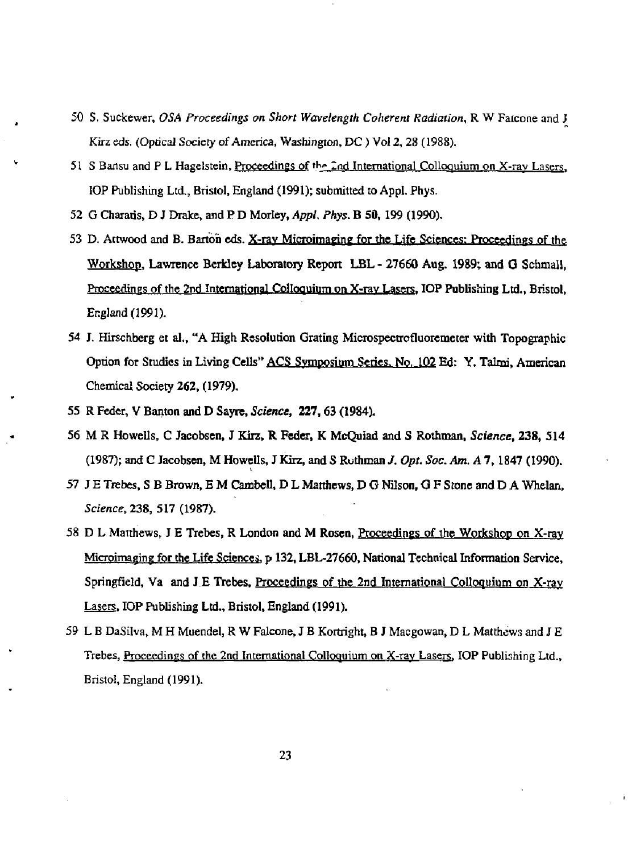- 50 S. Suckewer, *OSA Proceedings on Short Wavelength Coherent Radiation,* R W Falcone and J Kirz eds. (Optical Society of America, Washington, DC) Vol 2, 28 (1988).
- 51 S Bansu and P L Hagelstein, Proceedings of the 2nd International Colloquium on X-ray Lasers, IOP Publishing Ltd., Bristol, England (1991); submitted to Appl. Phys.
- 52 G Charatis, D J Drake, and P D Morley, *Appl. Phys.* B 50, 199 (1990).
- 53 D. Attwood and B. Barton eds. X-ray Microimaging for the Life Sciences: Proceedings of the Workshop. Lawrence Berkley Laboratory Report LBL - 27660 Aug. 1989; and G Schmall, Proceedings of the 2nd International Colloquium on X-rav Lasers. IOP Publishing Ltd., Bristol, England (1991).
- 54 J. Hirschberg et al., "A High Resolution Grating Microspectrofluoremeter with Topographic Option for Studies in Living Cells" ACS Symposium Series. No. 102 Ed: Y. Talmi, American Chemical Society 262, (1979).
- 55 R Feder, V Banton and D Sayre, *Science,* 227,63(1984).
- 56 M R Howells, C Jacobsen, J Kirz, R Feder, K McQuiad and S Rothman, *Science,* 238, 514 (1987); and C Jacobsen, M Howells, J Kirz, and S Ruthman /. *Opt. Soc. Am. A* 7,1847 (1990).
- 57 J E Trebes, S B Brown, E M Cambell, D L Matthews, D G Nilson, G F Stone and D A Whelan, Science, 238, 517 (1987).
- 58 D L Matthews, J E Trebes, R London and M Rosen, Proceedings of the Workshop on X-ray Microimaging for the Life Sciences, p 132, LBL-27660, National Technical Information Service, Springfield, Va and J E Trebes, Proceedings of the 2nd International Colloquium on X-ray Lasers. IOP Publishing Ltd., Bristol, England (1991).
- 59 L B DaSilva, M H Muendel, R W Falcone, J B Kortright, B J Macgowan, D L Matthews and J E Trebes, Proceedings of the 2nd International Colloquium on X-ray Lasers, IOP Publishing Ltd., Bristol, England (1991).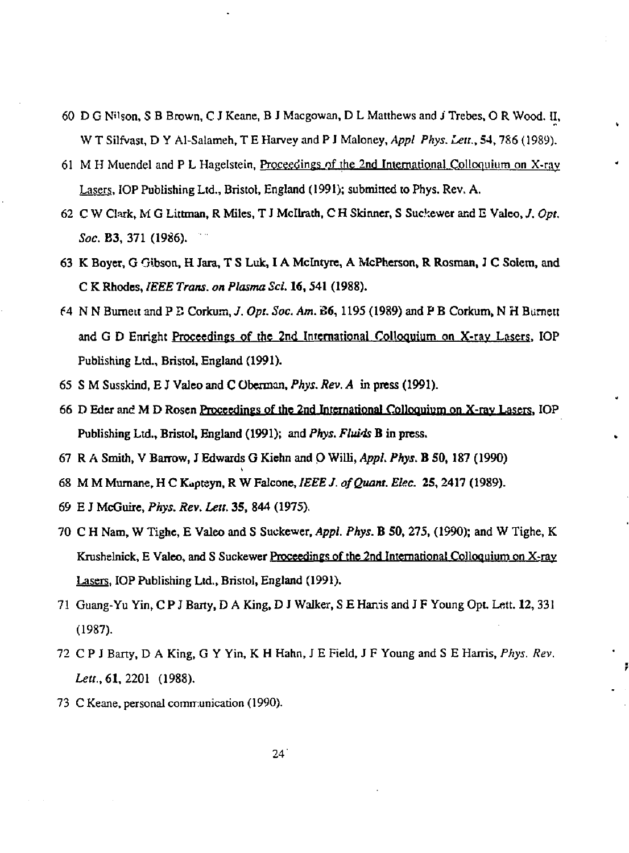- 60 D G N'lson, S B Brown, C J Keane, B J Macgowan, D L Matthews and J Trebes, O R Wood. II, W T Silfvast, D Y Al-Salameh, T E Harvey and P J Maloney, *Appl Phys. Leu.,* 54,786 (1989).
- 61 M H Muendel and P L Hagelstein, Proceedings of the 2nd International Colloquium on X-ray Lasers. IOP Publishing Ltd., Bristol, England (1991); submitted to Phys. Rev. A.
- 62 C W Clark, M G Littman, R Miles, T J Mcllrath, C H Skinner, S Suckewer and E Valeo, *J. Opt. Soc.* B3, 371 (1986).
- 63 K Boyer, G Gibson, H Jara, T S Luk, IA Mclntyre, A McPherson, R Rosman, J C Solcm, and C K Rhodes, *IEEE Trans, on Plasma Sci.* 16,541 (1988).
- 64 N N Bumett and P S Corkuis, *J. Opt. Soc. Am.* 36,1195 (1989) and P B Corkum, N H Bumett and G D Enright Proceedings of the 2nd International Colloquium on X-rav Lasers. IOP Publishing Ltd., Bristol, England (1991).
- 65 S M Susskind, E J Valeo and C Obennon, *Phys. Rev. A* in press (1991).
- 66 D Eder and M D Rosen Proceedings of the 2nd International Colloquium on X-rav Lasers. IOP Publishing Ltd., Bristol, England (1991); and *Phys. Fluids* B in press.
- 67 R A Smith, V Barrow, J Edwards G Kichn and O Willi, *Appl. Phys.* B SO, 187 (1990)
- 68 M M Murnane, H C Kaptsyn, R W Falcone, *IEEE J. of Quant. Eke.* 25,2417 (1989).
- 69 E J McGuire, *Phys. Rev. Lett.* 35, 844 (1975).
- 70 C H Nam, W Tighe, E Valeo and S Suckewer, *Appl. Phys.* B 50, 275, (1990); and W Tighe, K Krushelnick, E Valeo, and S Suckewer Proceedings of the 2nd International Colloquium on X-ray Lasers. IOP Publishing Ltd., Bristol, England (1991).
- 71 Guang-Yu Yin, C P J Barty, D A King, D J Walker, S E Harris and J F Young Opt. Lett. 12, 331 (1987).
- 72 C P J Barty, D A King, G Y Yin, K H Hahn, J E Field, J F Young and S E Harris, *Phys. Rev. Lett.,* 61, 2201 (1988).
- 73 C Keane, personal communication (1990).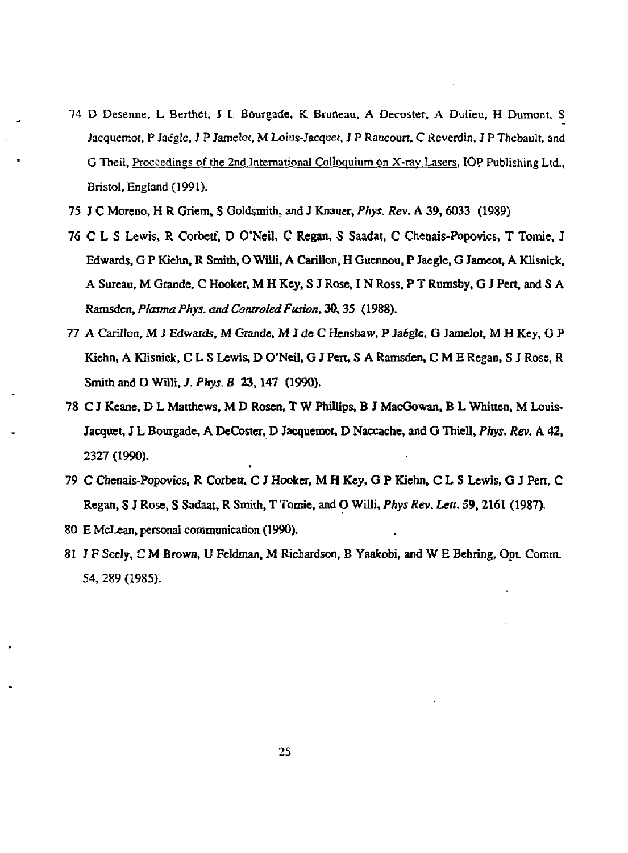- 74 **D** Desenne, **L Berthet, J L Bourgade, K. Bruneau, A Oecoster,** A Dulieu, H Dumont, S Jacquemot, P Jacgle, J P Jameloc, M Loius-Jacquet, J P Raucourt, C Reverdin, J P Thebault, and G Theil, Proceedings of the 2nd International Colloquium on X-rav Lasers. **IOP** Publishing Ltd., Bristol, England (1991).
- 75 **J C Moreno, H R Griem, S Goldsmith, and J Knauer,** *Phys. Rev.* **A 39, 6033 (1989)**
- **76 C L S Lewis, R Corbett, D O'Neil, C Regan, S Saadat, C Chenais-Popovics, T Tomie, J Edwards, G P Kiehn, R Smith, O Willi, A Carillon, H Guennou, P Jaegle, G Jameot, A Klisnicfc, A Sureau, M Grande, C Hooker, M H Key, S J Rose, I N Ross, P T Rumsby, G J Pert, and S A Ramsden,** *Plasma Phys. and Controled Fusion,* **30,35 (1988).**
- 77 A Carillon, M J Edwards, M Grande, M J de C Henshaw, P Jaégle, G Jamelot, M H Key, G P **Kiehn, A Klisnick, C L S Lewis, D O'Neil, G J Pert, S A Ramsden, C M E Regan, S J Rose, R**  Smith and O Willi, *J. Phys. B* 23, 147 (1990).
- **78 C J Keane, D L Matthews, M D Rosen, T W Phillips, B J MacGowan, B L Whitten, M Louis-Jacquet, J L Bourgade, A DeCoster, D Jacquemot, D Naccache, and G Thiell,** *Phys. Rev.* **A 42, 2327 (1990).**
- **79 C Chenais-Popovics, R Corbett, C J Hooker, M H Key, G P Kiehn, C L S Lewis, G J Pen, C Regan, S J Rose, S Sadaat, R Smith, T Tomie, and O Willi,** *Phys Rev. Lett.* **59,2161 (1987).**
- **80 E McLean, personal communication (1990).**
- **81 J F Seely, C M Brown, U Feldman, M Richardson, B Yaakobi, and W E Behring, Opt. Comtn. 54, 289 (1985).**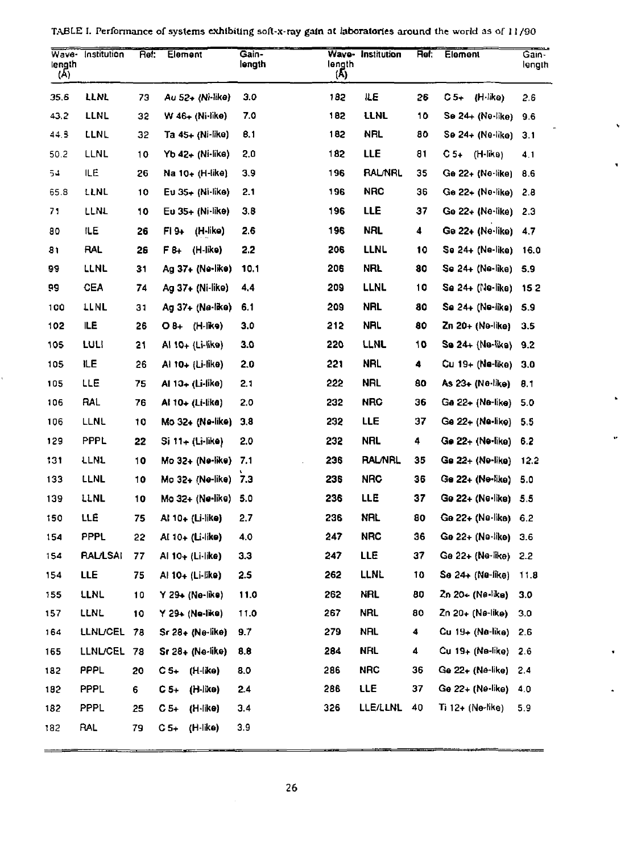| Wave-<br>length<br>$(\overline{A})$ | Institution     | Het: | Element           | Gain-<br>length | Wave-<br>length<br>(Ā) | Institution     | Ret: | Element            | Gain-<br>length |
|-------------------------------------|-----------------|------|-------------------|-----------------|------------------------|-----------------|------|--------------------|-----------------|
| 35.6                                | LLNL            | 73   | Au 52+ (Ni-like)  | 3.0             | 182                    | ÆЕ              | 26   | C 5+<br>(H-like)   | 2.6             |
| 43.2                                | LLNL            | 32   | W 46+ (Ni-like)   | 7.0             | 182                    | LLNL            | 10   | Se 24+ (Ne-like)   | 9.6             |
| 44.3                                | LLNL            | 32   | Ta 45+ (Ni-like)  | 0.1             | 182                    | NRL             | 80   | Se 24+ (Ne-like)   | 3.1             |
| 50.2                                | LLNL            | 10   | Yb 42÷ (Ni•like)  | 2,0             | 182                    | LLE             | 81   | C 5+<br>(H-like)   | 4.1             |
| 54                                  | ILE             | 26   | Na 10+ (H-like)   | 3,9             | 196                    | <b>RALNRL</b>   | 35   | Ge 22+ (Ne-like)   | 8.6             |
| 65.8                                | LLNL            | 10   | Eu 35⊹ (Nî-like)  | 2.1             | 196                    | NRC             | 36   | Ge 22∔ (Ne•like)   | 2.8             |
| 71                                  | LLNL            | 10   | Eu 35+ (Ni-like)  | 3.8             | 196                    | LLE             | 37   | Ge 22+ (Ne-like)   | 2.3             |
| 80                                  | ILЕ             | 26   | FI 9+<br>(H-like) | 2.6             | 196                    | NRL             | 4    | Ge 22+ (Ne·like)   | 4.7             |
| 81                                  | RAL             | 26   | F 8+<br>(H-like)  | 2.2             | 206                    | LLNL            | 10   | Se 24+ (Ne-like)   | 16.0            |
| 99                                  | LLNL            | 31   | Ag 37+ (Ne-like)  | 10.1            | 206                    | nrl             | 80   | Se 24+ (Ne-like)   | 5.9             |
| 99                                  | CEA             | 74   | Ag 37+ (Ni-like)  | 4,4             | 209                    | LLNL            | 10   | Se 24+ (Ne-like)   | 15 2            |
| 100                                 | LLNL            | 31   | Ag 37+ (Ne·like)  | 6.1             | 209                    | NRL             | 80   | Se 24+ (Ne-like)   | 5.9             |
| 102                                 | ILE             | 26   | (Н-ікэ)<br>O 8+   | 3.0             | 212                    | nal             | 80   | Zn 20+ (Ne-like)   | 3.5             |
| 105                                 | LULI            | 21   | Al 10+ (Li-like)  | 3.0             | 220                    | LLNL            | 10   | Se 24+ (Ne-like)   | 9.2             |
| 105                                 | ΙLΕ             | 26   | Al 10+ (Li-like)  | 2.0             | 221                    | NRL,            | 4    | Cu 19+ (Ne-like)   | 3.0             |
| 105                                 | LLE             | 75   | Al 10+ (Li-like)  | 2.1             | 222                    | NRL             | 80   | As 23+ (Ne•like)   | 8.1             |
| 106                                 | RAL             | 76   | AI 10+ (Li-lika)  | 2.0             | 232                    | <b>NRC</b>      | 36   | Ge 22+ (Ne-like)   | 5.0             |
| 106                                 | LLNL            | 10   | Mo 32+ (Ne-like)  | 3.8             | 232                    | LLE             | 37   | Ge 22+ (Ne-like)   | 5.5             |
| 129                                 | PPPL            | 22   | Si 11+ (Li-like)  | 2.0             | 232                    | <b>NRL</b>      | 4    | Ge 22+ (Ne•like)   | 6.2             |
| 131                                 | <b>TEMT</b>     | 10   | Mo 32+ (Ne-like)  | 7.1             | 236                    | <b>RAL/NRL</b>  | 35   | Ge 22+ (Ne-like)   | 12.2            |
| 133                                 | LLNL            | 10   | Mo 32+ (Ne-like)  | 7.3             | 236                    | <b>NRC</b>      | 36   | Ge 22+ (Ne•like)   | 5.0             |
| 139                                 | LLNL            | 10   | Mo 32+ (Ne-like). | 5.0             | 236                    | <b>LLE</b>      | 37   | Ge 22+ (Ne•like)   | -5.5            |
| 150                                 | LLE             | 75   | AI 10+ (Li-like)  | 2.7             | 236                    | NRL             | 80   | Ge 22+ (Ne∙like).  | 6.2             |
| 154                                 | PPPL            | 22   | Al 10+ (Li-like)  | 4.0             | 247                    | <b>NRC</b>      | 36   | Ge 22+ (Ne-like)   | 3.6             |
| 154                                 | <b>RAL/LSAI</b> | 77   | Al 10+ (Li·like)  | 3.3             | 247                    | LLE             | 37   | Ge 22+ (Ne-like)   | 2.2             |
| 154                                 | LLE             | 75   | AI 10+ (Li-like)  | 2.5             | 262                    | LLNL            | 10   | Se 24+ (Ne-like)   | 11.8            |
| 155                                 | LLNL            | 10   | Y 29+ (Ne-like)   | 11.0            | 262                    | NRL             | 80   | Zn 20≁ (Ne like)   | 3.0             |
| 157                                 | LLNL            | 10   | Y 29+ (Ne-like)   | 11.0            | 267                    | NRL             | 80   | Zn 20+ (Nø-like)   | 3.0             |
| 164                                 | <b>LLNL/CEL</b> | 78   | Sr 28+ (Ne-like)  | 9.7             | 279                    | NRL             | 4    | Cu 19÷ (Na-like)   | 2.6             |
| 165                                 | <b>LLNL/CEL</b> | -78  | Sr 28+ (Ne-like)  | 8.8             | 284                    | <b>NFIL</b>     | 4    | Cu 19+ (Ne-like) - | 2.6             |
| 182                                 | <b>PPPL</b>     | 20   | C 5+<br>(H-like)  | 8.0             | 286                    | <b>NRC</b>      | 36   | Ge 22+ (Ne-like)   | 2.4             |
| 182                                 | PPPL            | 6    | C 5+<br>(H-like)  | 2.4             | 286                    | LLE             | 37   | Ge 22+ (Ne-like)   | 4.0             |
| 182                                 | PPPL            | 25   | C 5+<br>(H-like)  | 3.4             | 326                    | <b>LLE/LLNL</b> | 40   | Ti 12+ (Ne-like)   | 5.9             |
| 182                                 | RAL             | 79   | (H-like)<br>C 5+  | 3.9             |                        |                 |      |                    |                 |

TABLE I. Performance of systems exhibiting soft-x-ray gain at laboratories around the world as of 11 790

 $\hat{\mathbf{v}}$ 

 $\blacksquare$ 

 $\hat{\textbf{r}}$ 

ä,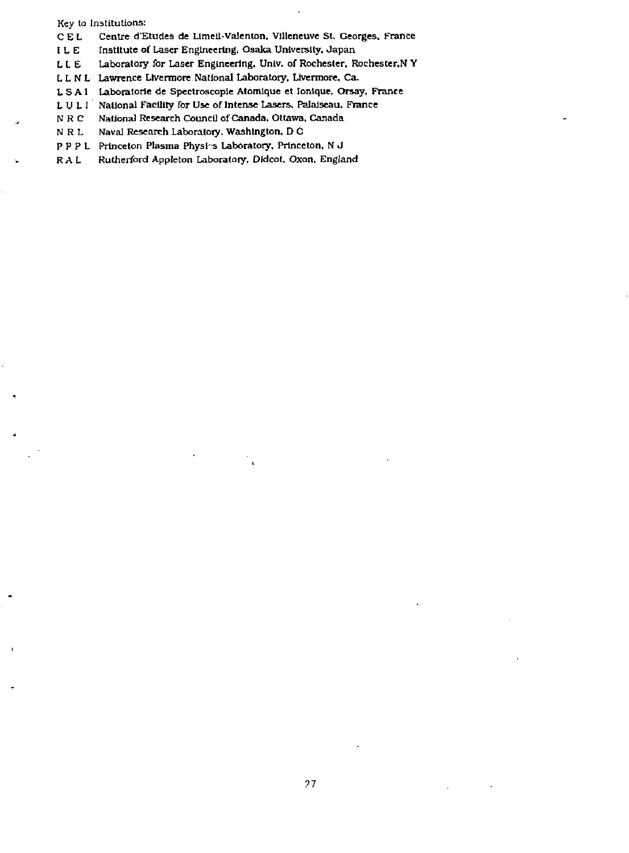**Key to Institutions:** 

**C E L Centre d'Etudes de Limell-Valenton. Villeneuve St, Georges, France** 

**ILE** Institute of Laser Engineering. Osaka University, Japan **LLE** Laboratory for Laser Engineering, Univ. of Rochester, R Laboratory for Laser Engineering, Univ. of Rochester, Rochester, N Y

**L L N L Lawrence Livermore National Laboratory, Lrvermore, Ca.** 

**L S A 1 Laboratorie de Spectroscopic Atomique et Ionique, Orsay, France** 

**LULt National Facility for Use of Intense Lasers. Palalseau, France** 

**N RC National Research Council of Canada. Ottawa. Canada** 

Naval Research Laboratory, Washington, D C

**P P P L Princeton Plasma Physl-s Laboratory. Princeton, N J** 

**R A L Rutherford Appleton Laboratory. Dldcot. Oxon. England**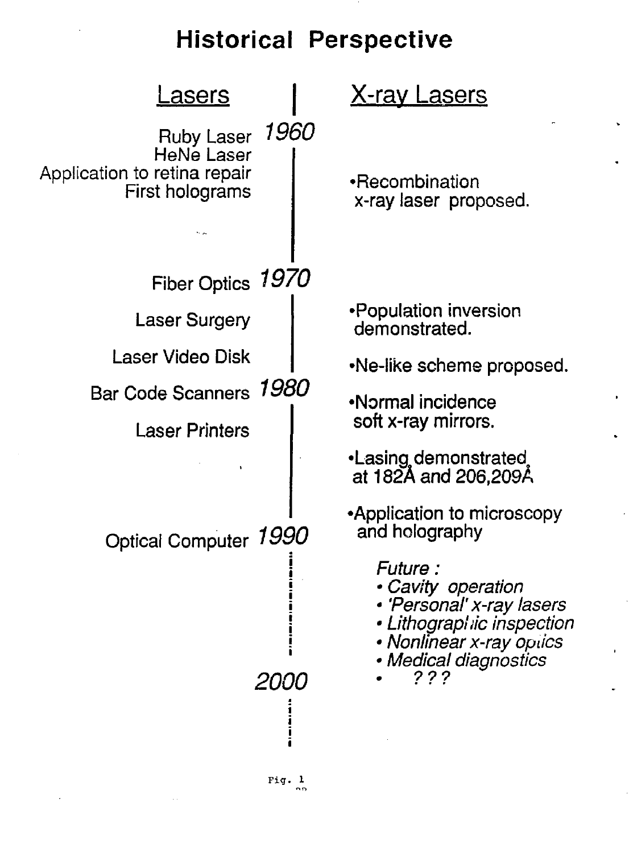# Historical Perspective

| <u>asers</u>                                                                |             | <u>X-ray Lasers</u>                                                                                                                           |  |  |  |
|-----------------------------------------------------------------------------|-------------|-----------------------------------------------------------------------------------------------------------------------------------------------|--|--|--|
| Ruby Laser<br>HeNe Laser<br>Application to retina repair<br>First holograms | 1960        | •Recombination<br>x-ray laser proposed.                                                                                                       |  |  |  |
| Fiber Optics 1970                                                           |             |                                                                                                                                               |  |  |  |
| <b>Laser Surgery</b>                                                        |             | •Population inversion<br>demonstrated.                                                                                                        |  |  |  |
| Laser Video Disk                                                            |             | •Ne-like scheme proposed.                                                                                                                     |  |  |  |
| Bar Code Scanners 1980                                                      |             | •Normal incidence                                                                                                                             |  |  |  |
| <b>Laser Printers</b>                                                       |             | soft x-ray mirrors.                                                                                                                           |  |  |  |
|                                                                             |             | •Lasing demonstrated<br>at 182A and 206,209Å                                                                                                  |  |  |  |
| Optical Computer 1990                                                       |             | •Application to microscopy<br>and holography                                                                                                  |  |  |  |
|                                                                             |             | Future :<br>· Cavity operation<br>· 'Personal' x-ray lasers<br>• Lithographic inspection<br>• Nonlinear x-ray optics<br>• Medical diagnostics |  |  |  |
|                                                                             | <i>2000</i> | ???                                                                                                                                           |  |  |  |
|                                                                             |             |                                                                                                                                               |  |  |  |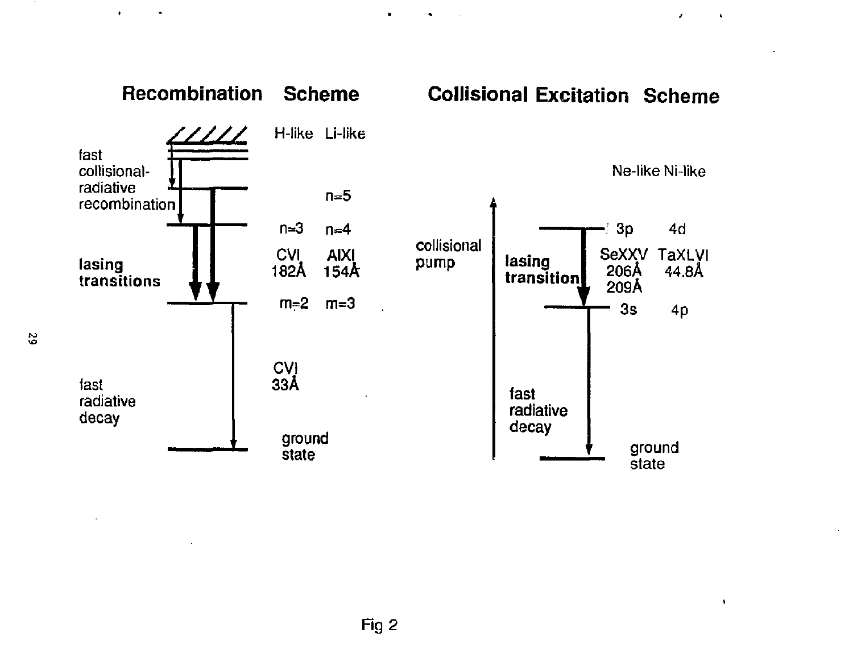

 $\ddot{\phantom{0}}$ 

 $\bullet$ 

 $\bullet$ 

 $\bullet$ 

 $\bullet$ 

 $\mathbf{z}$ 

 $\mathbf{A}$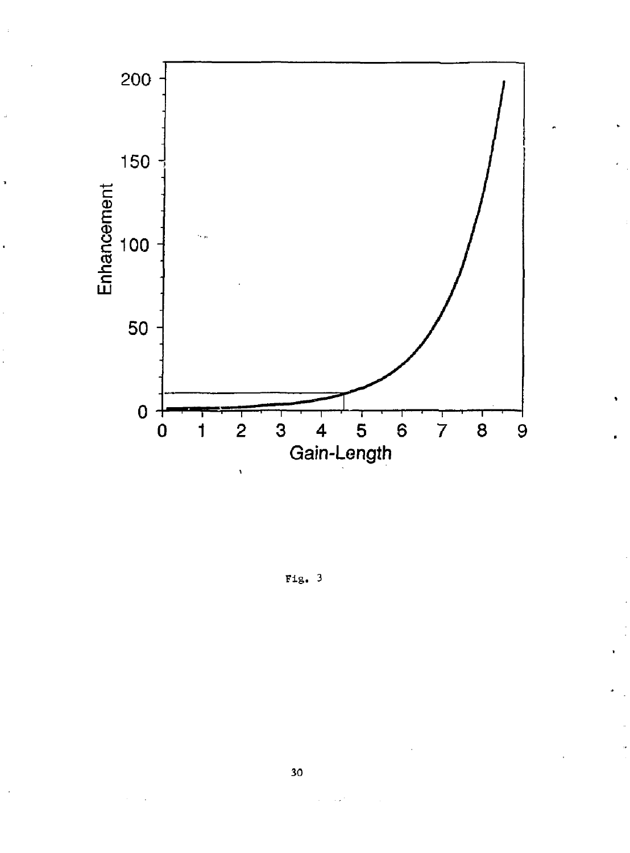

j.

Fig. 3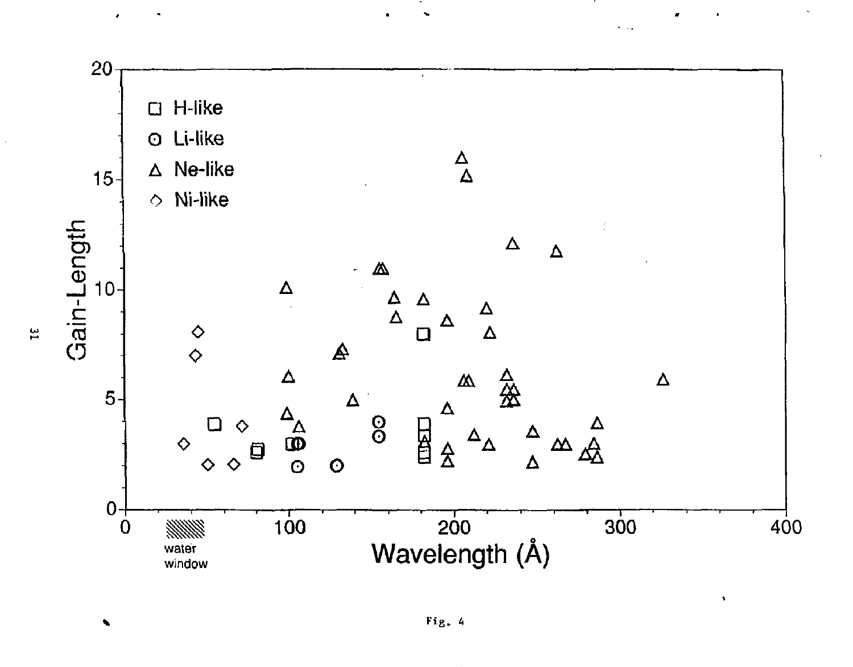

 $\ddotsc$ 

 $\frac{1}{2}$ 

Ñ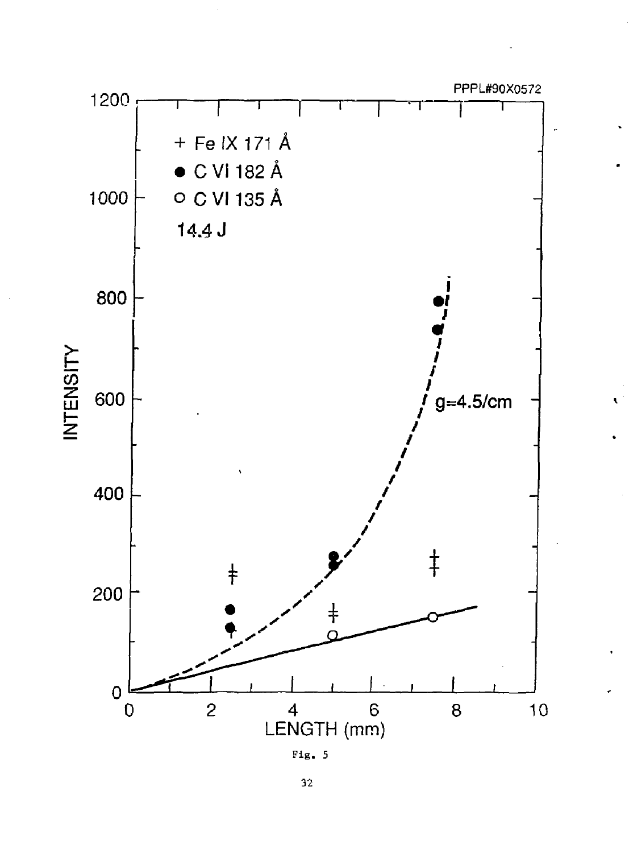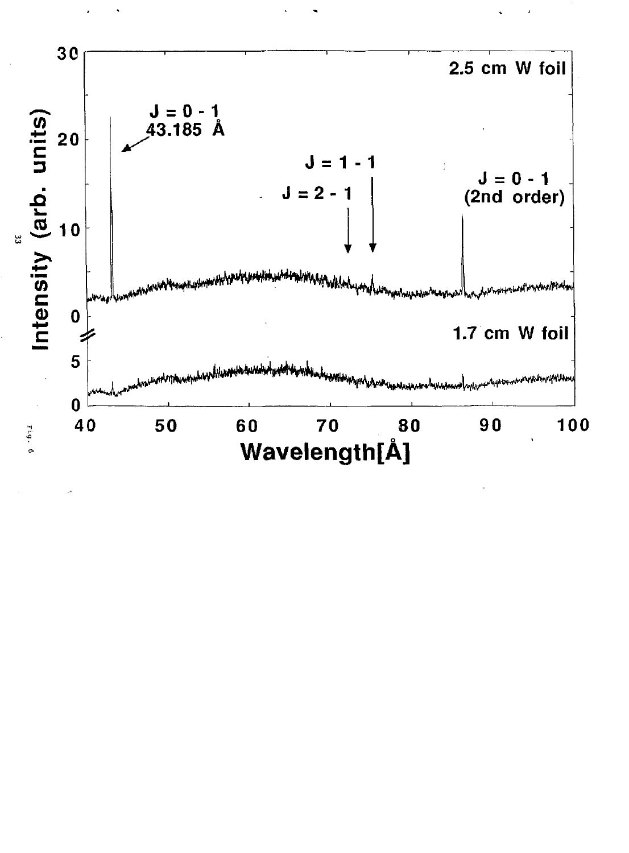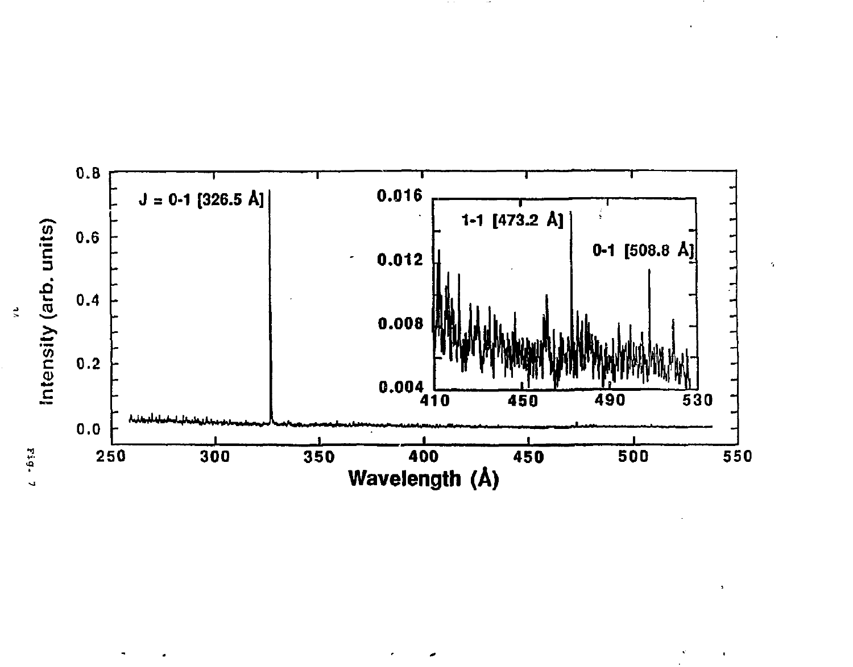

 $\gamma$ 

 $\blacksquare$ 

 $\blacksquare$ 

 $\frac{1}{2}$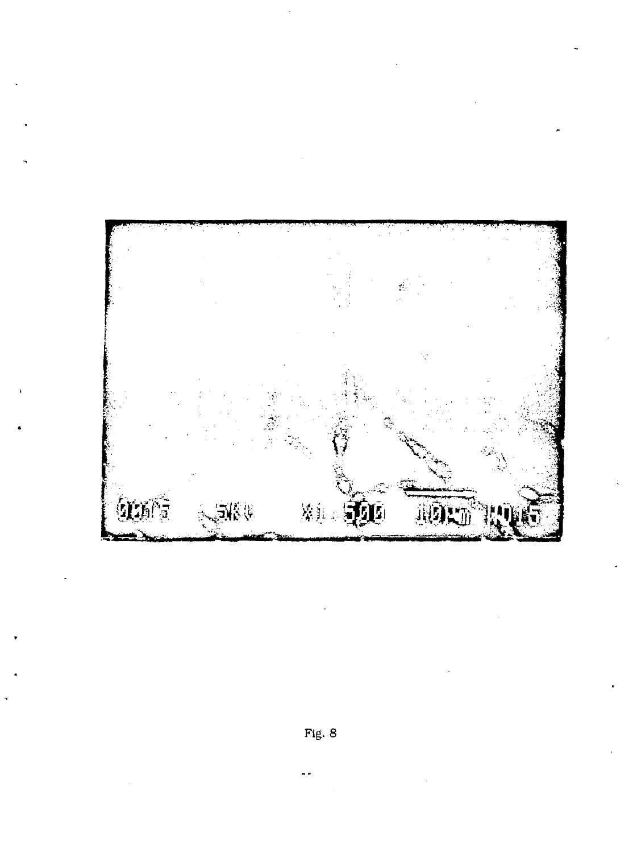